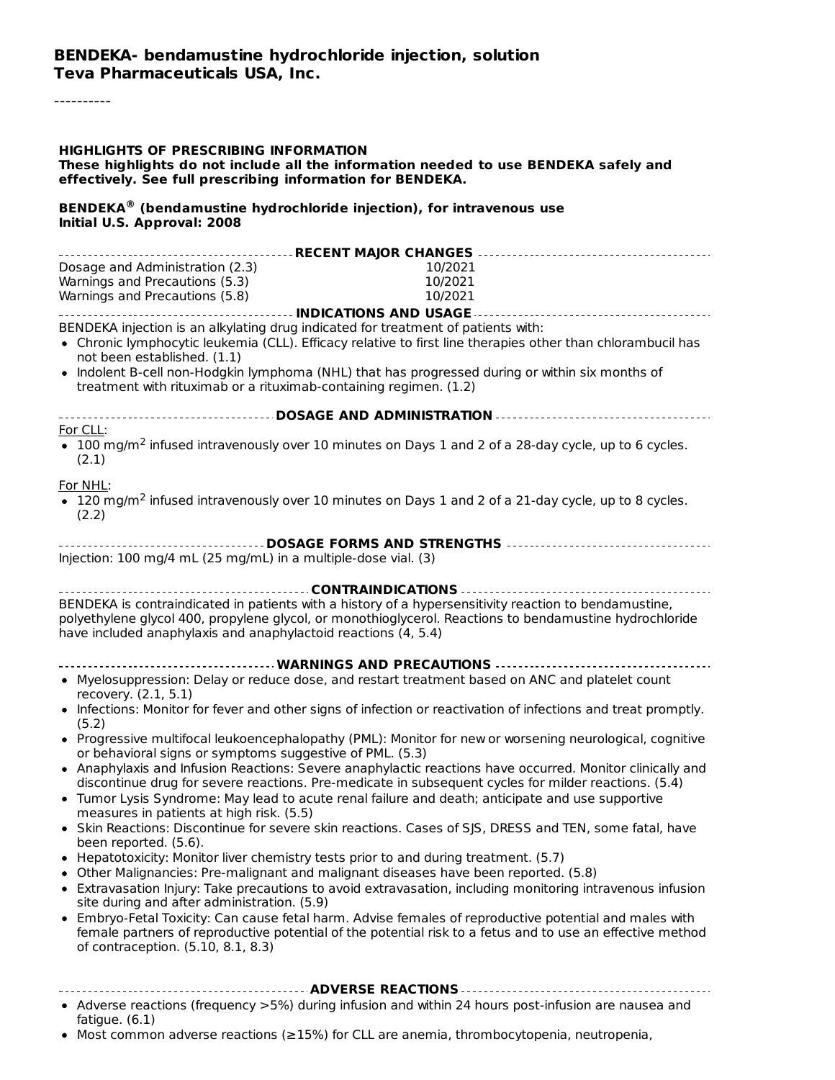#### **BENDEKA- bendamustine hydrochloride injection, solution Teva Pharmaceuticals USA, Inc.**

----------

#### **HIGHLIGHTS OF PRESCRIBING INFORMATION**

**These highlights do not include all the information needed to use BENDEKA safely and effectively. See full prescribing information for BENDEKA.**

#### **BENDEKA (bendamustine hydrochloride injection), for intravenous use ® Initial U.S. Approval: 2008**

| Dosage and Administration (2.3)                                                                                                                                      | 10/2021 |
|----------------------------------------------------------------------------------------------------------------------------------------------------------------------|---------|
| Warnings and Precautions (5.3)                                                                                                                                       | 10/2021 |
| Warnings and Precautions (5.8)                                                                                                                                       | 10/2021 |
|                                                                                                                                                                      |         |
| BENDEKA injection is an alkylating drug indicated for treatment of patients with:                                                                                    |         |
| • Chronic lymphocytic leukemia (CLL). Efficacy relative to first line therapies other than chlorambucil has                                                          |         |
| not been established. (1.1)                                                                                                                                          |         |
| • Indolent B-cell non-Hodgkin lymphoma (NHL) that has progressed during or within six months of                                                                      |         |
| treatment with rituximab or a rituximab-containing regimen. (1.2)                                                                                                    |         |
| ------------------------------ DOSAGE AND ADMINISTRATION ----------------------------------                                                                          |         |
| For CLL:                                                                                                                                                             |         |
| • 100 mg/m <sup>2</sup> infused intravenously over 10 minutes on Days 1 and 2 of a 28-day cycle, up to 6 cycles.                                                     |         |
| (2.1)                                                                                                                                                                |         |
|                                                                                                                                                                      |         |
| For NHL:                                                                                                                                                             |         |
| • 120 mg/m <sup>2</sup> infused intravenously over 10 minutes on Days 1 and 2 of a 21-day cycle, up to 8 cycles.                                                     |         |
| (2.2)                                                                                                                                                                |         |
| ----------------------------------- DOSAGE FORMS AND STRENGTHS -----------------------------------                                                                   |         |
| Injection: 100 mg/4 mL (25 mg/mL) in a multiple-dose vial. (3)                                                                                                       |         |
|                                                                                                                                                                      |         |
|                                                                                                                                                                      |         |
| BENDEKA is contraindicated in patients with a history of a hypersensitivity reaction to bendamustine,                                                                |         |
| polyethylene glycol 400, propylene glycol, or monothioglycerol. Reactions to bendamustine hydrochloride                                                              |         |
| have included anaphylaxis and anaphylactoid reactions (4, 5.4)                                                                                                       |         |
|                                                                                                                                                                      |         |
|                                                                                                                                                                      |         |
| • Myelosuppression: Delay or reduce dose, and restart treatment based on ANC and platelet count                                                                      |         |
| recovery. (2.1, 5.1)                                                                                                                                                 |         |
| • Infections: Monitor for fever and other signs of infection or reactivation of infections and treat promptly.                                                       |         |
| (5.2)                                                                                                                                                                |         |
| • Progressive multifocal leukoencephalopathy (PML): Monitor for new or worsening neurological, cognitive<br>or behavioral signs or symptoms suggestive of PML. (5.3) |         |
| • Anaphylaxis and Infusion Reactions: Severe anaphylactic reactions have occurred. Monitor clinically and                                                            |         |
| discontinue drug for severe reactions. Pre-medicate in subsequent cycles for milder reactions. (5.4)                                                                 |         |
| • Tumor Lysis Syndrome: May lead to acute renal failure and death; anticipate and use supportive                                                                     |         |
| measures in patients at high risk. (5.5)                                                                                                                             |         |
| • Skin Reactions: Discontinue for severe skin reactions. Cases of SJS, DRESS and TEN, some fatal, have                                                               |         |
| been reported. (5.6).                                                                                                                                                |         |
| • Hepatotoxicity: Monitor liver chemistry tests prior to and during treatment. (5.7)                                                                                 |         |
| • Other Malignancies: Pre-malignant and malignant diseases have been reported. (5.8)                                                                                 |         |
| • Extravasation Injury: Take precautions to avoid extravasation, including monitoring intravenous infusion                                                           |         |
| site during and after administration. (5.9)                                                                                                                          |         |
| • Embryo-Fetal Toxicity: Can cause fetal harm. Advise females of reproductive potential and males with                                                               |         |
| female partners of reproductive potential of the potential risk to a fetus and to use an effective method                                                            |         |
| of contraception. (5.10, 8.1, 8.3)                                                                                                                                   |         |
|                                                                                                                                                                      |         |
|                                                                                                                                                                      |         |
| • Adverse reactions (frequency >5%) during infusion and within 24 hours post-infusion are nausea and                                                                 |         |
| fatigue. $(6.1)$                                                                                                                                                     |         |

Most common adverse reactions (≥15%) for CLL are anemia, thrombocytopenia, neutropenia,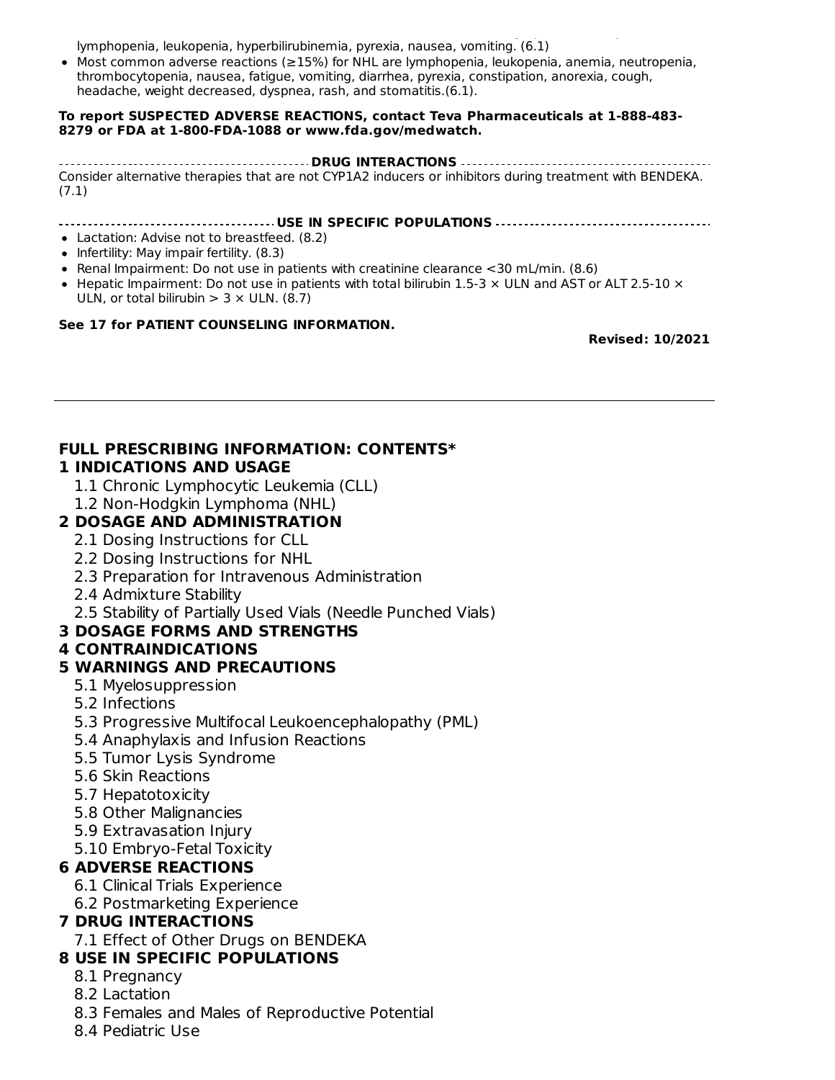Most common adverse reactions (≥15%) for CLL are anemia, thrombocytopenia, neutropenia, lymphopenia, leukopenia, hyperbilirubinemia, pyrexia, nausea, vomiting. (6.1)

Most common adverse reactions (≥15%) for NHL are lymphopenia, leukopenia, anemia, neutropenia, thrombocytopenia, nausea, fatigue, vomiting, diarrhea, pyrexia, constipation, anorexia, cough, headache, weight decreased, dyspnea, rash, and stomatitis.(6.1).

#### **To report SUSPECTED ADVERSE REACTIONS, contact Teva Pharmaceuticals at 1-888-483- 8279 or FDA at 1-800-FDA-1088 or www.fda.gov/medwatch.**

**DRUG INTERACTIONS** Consider alternative therapies that are not CYP1A2 inducers or inhibitors during treatment with BENDEKA. (7.1)

#### **USE IN SPECIFIC POPULATIONS**

- Lactation: Advise not to breastfeed. (8.2)
- $\bullet$  Infertility: May impair fertility. (8.3)
- Renal Impairment: Do not use in patients with creatinine clearance <30 mL/min. (8.6)
- Hepatic Impairment: Do not use in patients with total bilirubin 1.5-3  $\times$  ULN and AST or ALT 2.5-10  $\times$ ULN, or total bilirubin  $> 3 \times$  ULN. (8.7)

#### **See 17 for PATIENT COUNSELING INFORMATION.**

**Revised: 10/2021**

#### **FULL PRESCRIBING INFORMATION: CONTENTS\* 1 INDICATIONS AND USAGE**

- 1.1 Chronic Lymphocytic Leukemia (CLL)
- 1.2 Non-Hodgkin Lymphoma (NHL)

### **2 DOSAGE AND ADMINISTRATION**

- 2.1 Dosing Instructions for CLL
- 2.2 Dosing Instructions for NHL
- 2.3 Preparation for Intravenous Administration
- 2.4 Admixture Stability
- 2.5 Stability of Partially Used Vials (Needle Punched Vials)

#### **3 DOSAGE FORMS AND STRENGTHS**

#### **4 CONTRAINDICATIONS**

#### **5 WARNINGS AND PRECAUTIONS**

- 5.1 Myelosuppression
- 5.2 Infections
- 5.3 Progressive Multifocal Leukoencephalopathy (PML)
- 5.4 Anaphylaxis and Infusion Reactions
- 5.5 Tumor Lysis Syndrome
- 5.6 Skin Reactions
- 5.7 Hepatotoxicity
- 5.8 Other Malignancies
- 5.9 Extravasation Injury
- 5.10 Embryo-Fetal Toxicity

#### **6 ADVERSE REACTIONS**

- 6.1 Clinical Trials Experience
- 6.2 Postmarketing Experience

#### **7 DRUG INTERACTIONS**

7.1 Effect of Other Drugs on BENDEKA

#### **8 USE IN SPECIFIC POPULATIONS**

- 8.1 Pregnancy
- 8.2 Lactation
- 8.3 Females and Males of Reproductive Potential
- 8.4 Pediatric Use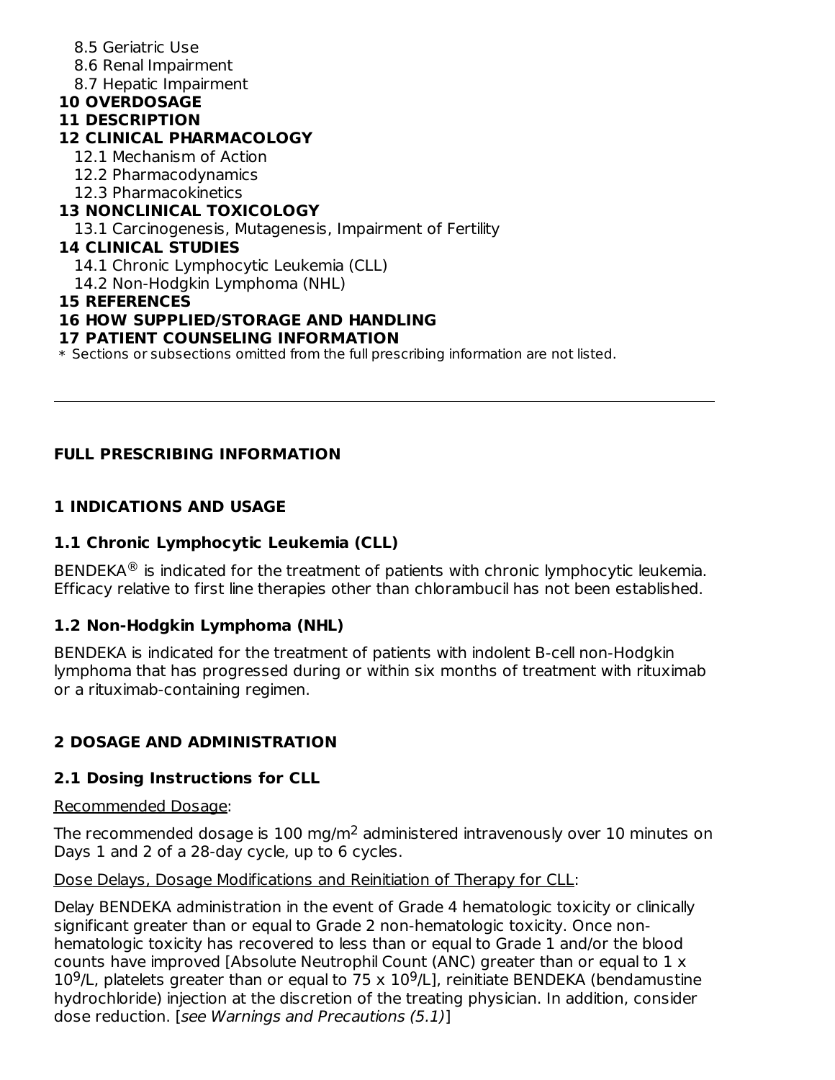### 8.5 Geriatric Use

- 8.6 Renal Impairment
- 8.7 Hepatic Impairment

## **10 OVERDOSAGE**

#### **11 DESCRIPTION**

### **12 CLINICAL PHARMACOLOGY**

- 12.1 Mechanism of Action
- 12.2 Pharmacodynamics
- 12.3 Pharmacokinetics

# **13 NONCLINICAL TOXICOLOGY**

13.1 Carcinogenesis, Mutagenesis, Impairment of Fertility

### **14 CLINICAL STUDIES**

14.1 Chronic Lymphocytic Leukemia (CLL)

14.2 Non-Hodgkin Lymphoma (NHL)

### **15 REFERENCES**

### **16 HOW SUPPLIED/STORAGE AND HANDLING**

### **17 PATIENT COUNSELING INFORMATION**

\* Sections or subsections omitted from the full prescribing information are not listed.

# **FULL PRESCRIBING INFORMATION**

# **1 INDICATIONS AND USAGE**

## **1.1 Chronic Lymphocytic Leukemia (CLL)**

BENDEKA $^{\circledR}$  is indicated for the treatment of patients with chronic lymphocytic leukemia. Efficacy relative to first line therapies other than chlorambucil has not been established.

## **1.2 Non-Hodgkin Lymphoma (NHL)**

BENDEKA is indicated for the treatment of patients with indolent B-cell non-Hodgkin lymphoma that has progressed during or within six months of treatment with rituximab or a rituximab-containing regimen.

# **2 DOSAGE AND ADMINISTRATION**

## **2.1 Dosing Instructions for CLL**

Recommended Dosage:

The recommended dosage is  $100$  mg/m<sup>2</sup> administered intravenously over  $10$  minutes on Days 1 and 2 of a 28-day cycle, up to 6 cycles.

#### Dose Delays, Dosage Modifications and Reinitiation of Therapy for CLL:

Delay BENDEKA administration in the event of Grade 4 hematologic toxicity or clinically significant greater than or equal to Grade 2 non-hematologic toxicity. Once nonhematologic toxicity has recovered to less than or equal to Grade 1 and/or the blood counts have improved [Absolute Neutrophil Count (ANC) greater than or equal to 1 x  $10^9$ /L, platelets greater than or equal to 75 x  $10^9$ /L], reinitiate BENDEKA (bendamustine hydrochloride) injection at the discretion of the treating physician. In addition, consider dose reduction. [see Warnings and Precautions (5.1)]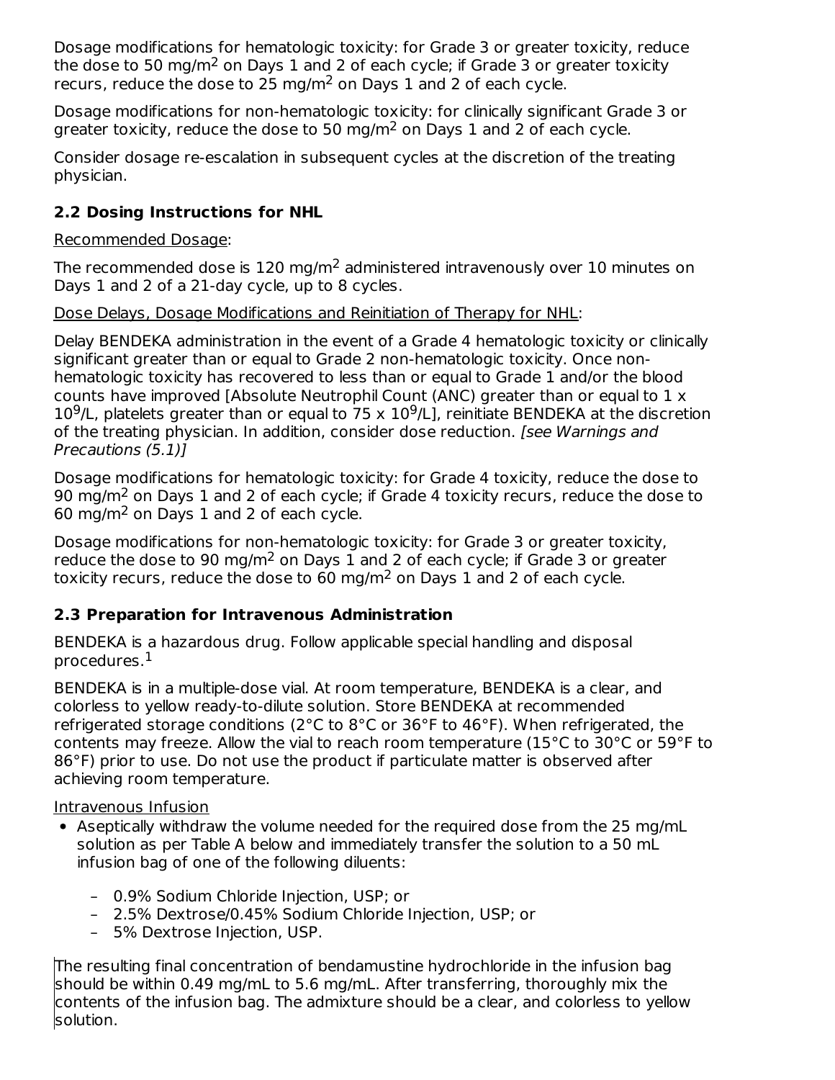Dosage modifications for hematologic toxicity: for Grade 3 or greater toxicity, reduce the dose to 50 mg/m<sup>2</sup> on Days 1 and 2 of each cycle; if Grade 3 or greater toxicity recurs, reduce the dose to 25 mg/m<sup>2</sup> on Days 1 and 2 of each cycle.

Dosage modifications for non-hematologic toxicity: for clinically significant Grade 3 or greater toxicity, reduce the dose to 50 mg/m<sup>2</sup> on Days 1 and 2 of each cycle.

Consider dosage re-escalation in subsequent cycles at the discretion of the treating physician.

# **2.2 Dosing Instructions for NHL**

Recommended Dosage:

The recommended dose is  $120$  mg/m<sup>2</sup> administered intravenously over  $10$  minutes on Days 1 and 2 of a 21-day cycle, up to 8 cycles.

Dose Delays, Dosage Modifications and Reinitiation of Therapy for NHL:

Delay BENDEKA administration in the event of a Grade 4 hematologic toxicity or clinically significant greater than or equal to Grade 2 non-hematologic toxicity. Once nonhematologic toxicity has recovered to less than or equal to Grade 1 and/or the blood counts have improved [Absolute Neutrophil Count (ANC) greater than or equal to 1 x  $10^9$ /L, platelets greater than or equal to 75 x  $10^9$ /L], reinitiate BENDEKA at the discretion of the treating physician. In addition, consider dose reduction. [see Warnings and Precautions (5.1)]

Dosage modifications for hematologic toxicity: for Grade 4 toxicity, reduce the dose to 90 mg/m<sup>2</sup> on Days 1 and 2 of each cycle; if Grade 4 toxicity recurs, reduce the dose to  $60 \text{ mg/m}^2$  on Days 1 and 2 of each cycle.

Dosage modifications for non-hematologic toxicity: for Grade 3 or greater toxicity, reduce the dose to 90 mg/m<sup>2</sup> on Days 1 and 2 of each cycle; if Grade 3 or greater toxicity recurs, reduce the dose to 60 mg/m<sup>2</sup> on Days 1 and 2 of each cycle.

## **2.3 Preparation for Intravenous Administration**

BENDEKA is a hazardous drug. Follow applicable special handling and disposal procedures. 1

BENDEKA is in a multiple-dose vial. At room temperature, BENDEKA is a clear, and colorless to yellow ready-to-dilute solution. Store BENDEKA at recommended refrigerated storage conditions (2°C to 8°C or 36°F to 46°F). When refrigerated, the contents may freeze. Allow the vial to reach room temperature (15°C to 30°C or 59°F to 86°F) prior to use. Do not use the product if particulate matter is observed after achieving room temperature.

Intravenous Infusion

- Aseptically withdraw the volume needed for the required dose from the 25 mg/mL solution as per Table A below and immediately transfer the solution to a 50 mL infusion bag of one of the following diluents:
	- 0.9% Sodium Chloride Injection, USP; or
	- 2.5% Dextrose/0.45% Sodium Chloride Injection, USP; or
	- 5% Dextrose Injection, USP.

The resulting final concentration of bendamustine hydrochloride in the infusion bag should be within 0.49 mg/mL to 5.6 mg/mL. After transferring, thoroughly mix the contents of the infusion bag. The admixture should be a clear, and colorless to yellow solution.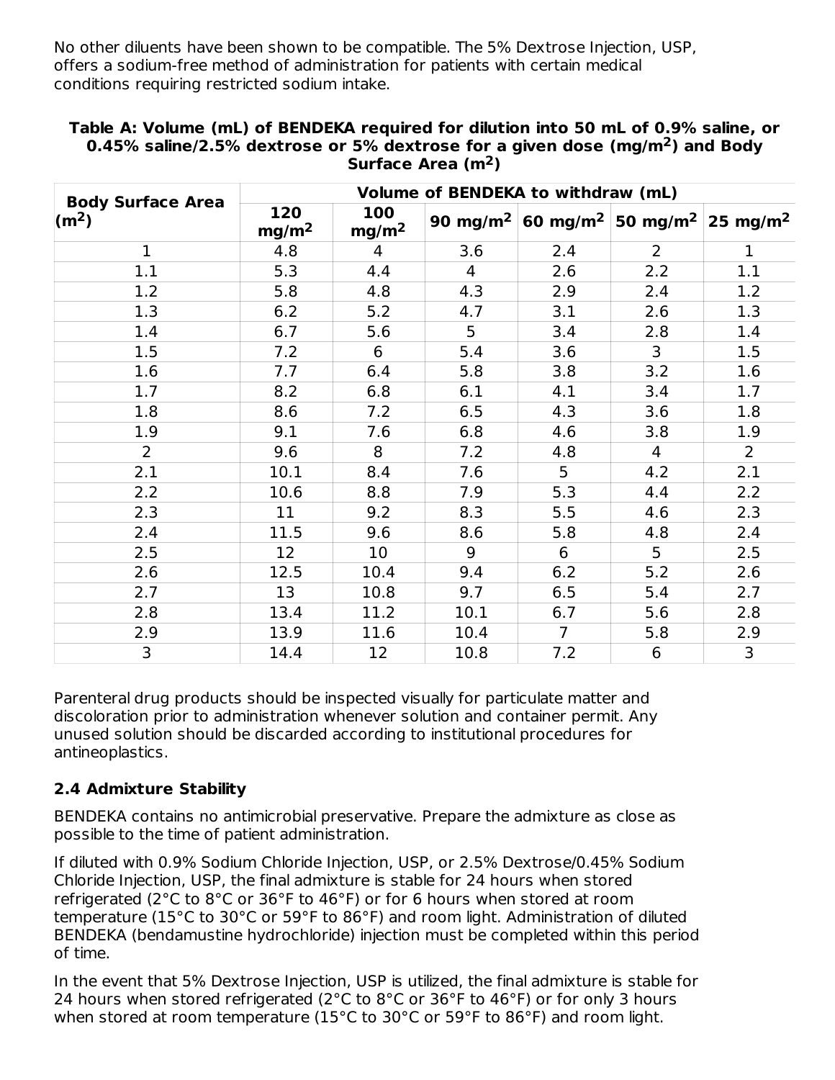No other diluents have been shown to be compatible. The 5% Dextrose Injection, USP, offers a sodium-free method of administration for patients with certain medical conditions requiring restricted sodium intake.

|                                              | Volume of BENDEKA to withdraw (mL) |                          |                      |                |                                           |                      |
|----------------------------------------------|------------------------------------|--------------------------|----------------------|----------------|-------------------------------------------|----------------------|
| <b>Body Surface Area</b><br>$\mathsf{(m}^2)$ | 120<br>mg/m <sup>2</sup>           | 100<br>mg/m <sup>2</sup> | 90 mg/m <sup>2</sup> |                | 60 mg/m <sup>2</sup> 50 mg/m <sup>2</sup> | 25 mg/m <sup>2</sup> |
| $\mathbf 1$                                  | 4.8                                | $\overline{4}$           | 3.6                  | 2.4            | $\overline{2}$                            | $\mathbf{1}$         |
| 1.1                                          | 5.3                                | 4.4                      | 4                    | 2.6            | 2.2                                       | 1.1                  |
| 1.2                                          | 5.8                                | 4.8                      | 4.3                  | 2.9            | 2.4                                       | 1.2                  |
| 1.3                                          | 6.2                                | 5.2                      | 4.7                  | 3.1            | 2.6                                       | 1.3                  |
| 1.4                                          | 6.7                                | 5.6                      | 5                    | 3.4            | 2.8                                       | 1.4                  |
| 1.5                                          | 7.2                                | 6                        | 5.4                  | 3.6            | 3                                         | 1.5                  |
| 1.6                                          | 7.7                                | 6.4                      | 5.8                  | 3.8            | 3.2                                       | 1.6                  |
| 1.7                                          | 8.2                                | 6.8                      | 6.1                  | 4.1            | 3.4                                       | 1.7                  |
| 1.8                                          | 8.6                                | 7.2                      | 6.5                  | 4.3            | 3.6                                       | 1.8                  |
| 1.9                                          | 9.1                                | 7.6                      | 6.8                  | 4.6            | 3.8                                       | 1.9                  |
| $\overline{2}$                               | 9.6                                | 8                        | 7.2                  | 4.8            | 4                                         | $\overline{2}$       |
| 2.1                                          | 10.1                               | 8.4                      | 7.6                  | 5              | 4.2                                       | 2.1                  |
| 2.2                                          | 10.6                               | 8.8                      | 7.9                  | 5.3            | 4.4                                       | 2.2                  |
| 2.3                                          | 11                                 | 9.2                      | 8.3                  | 5.5            | 4.6                                       | 2.3                  |
| 2.4                                          | 11.5                               | 9.6                      | 8.6                  | 5.8            | 4.8                                       | 2.4                  |
| 2.5                                          | 12                                 | 10                       | 9                    | 6              | 5                                         | 2.5                  |
| 2.6                                          | 12.5                               | 10.4                     | 9.4                  | 6.2            | 5.2                                       | 2.6                  |
| 2.7                                          | 13                                 | 10.8                     | 9.7                  | 6.5            | 5.4                                       | 2.7                  |
| 2.8                                          | 13.4                               | 11.2                     | 10.1                 | 6.7            | 5.6                                       | 2.8                  |
| 2.9                                          | 13.9                               | 11.6                     | 10.4                 | $\overline{7}$ | 5.8                                       | 2.9                  |
| 3                                            | 14.4                               | 12                       | 10.8                 | 7.2            | $\boldsymbol{6}$                          | 3                    |

#### **Table A: Volume (mL) of BENDEKA required for dilution into 50 mL of 0.9% saline, or 0.45% saline/2.5% dextrose or 5% dextrose for a given dose (mg/m ) and Body 2** Surface Area (m<sup>2</sup>)

Parenteral drug products should be inspected visually for particulate matter and discoloration prior to administration whenever solution and container permit. Any unused solution should be discarded according to institutional procedures for antineoplastics.

## **2.4 Admixture Stability**

BENDEKA contains no antimicrobial preservative. Prepare the admixture as close as possible to the time of patient administration.

If diluted with 0.9% Sodium Chloride Injection, USP, or 2.5% Dextrose/0.45% Sodium Chloride Injection, USP, the final admixture is stable for 24 hours when stored refrigerated (2°C to 8°C or 36°F to 46°F) or for 6 hours when stored at room temperature (15°C to 30°C or 59°F to 86°F) and room light. Administration of diluted BENDEKA (bendamustine hydrochloride) injection must be completed within this period of time.

In the event that 5% Dextrose Injection, USP is utilized, the final admixture is stable for 24 hours when stored refrigerated (2°C to 8°C or 36°F to 46°F) or for only 3 hours when stored at room temperature (15°C to 30°C or 59°F to 86°F) and room light.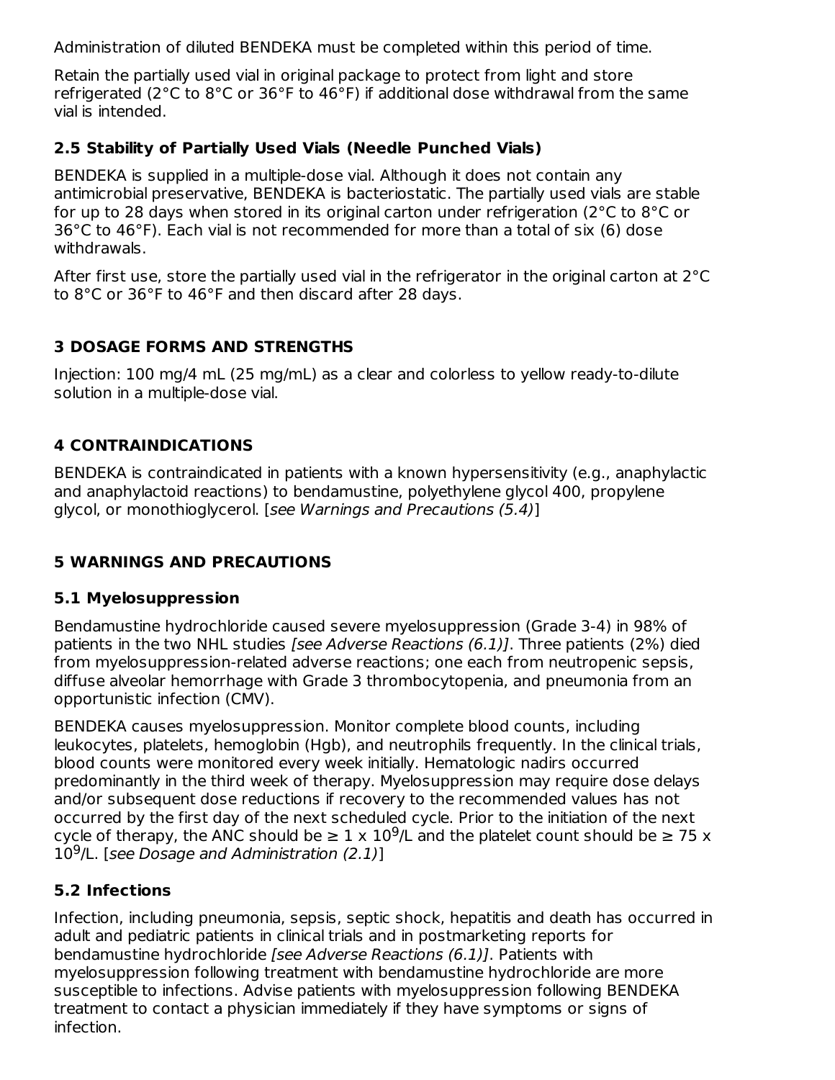Administration of diluted BENDEKA must be completed within this period of time.

Retain the partially used vial in original package to protect from light and store refrigerated (2°C to 8°C or 36°F to 46°F) if additional dose withdrawal from the same vial is intended.

# **2.5 Stability of Partially Used Vials (Needle Punched Vials)**

BENDEKA is supplied in a multiple-dose vial. Although it does not contain any antimicrobial preservative, BENDEKA is bacteriostatic. The partially used vials are stable for up to 28 days when stored in its original carton under refrigeration (2°C to 8°C or 36°C to 46°F). Each vial is not recommended for more than a total of six (6) dose withdrawals.

After first use, store the partially used vial in the refrigerator in the original carton at 2°C to 8°C or 36°F to 46°F and then discard after 28 days.

# **3 DOSAGE FORMS AND STRENGTHS**

Injection: 100 mg/4 mL (25 mg/mL) as a clear and colorless to yellow ready-to-dilute solution in a multiple-dose vial.

# **4 CONTRAINDICATIONS**

BENDEKA is contraindicated in patients with a known hypersensitivity (e.g., anaphylactic and anaphylactoid reactions) to bendamustine, polyethylene glycol 400, propylene glycol, or monothioglycerol. [see Warnings and Precautions (5.4)]

# **5 WARNINGS AND PRECAUTIONS**

# **5.1 Myelosuppression**

Bendamustine hydrochloride caused severe myelosuppression (Grade 3-4) in 98% of patients in the two NHL studies [see Adverse Reactions (6.1)]. Three patients (2%) died from myelosuppression-related adverse reactions; one each from neutropenic sepsis, diffuse alveolar hemorrhage with Grade 3 thrombocytopenia, and pneumonia from an opportunistic infection (CMV).

BENDEKA causes myelosuppression. Monitor complete blood counts, including leukocytes, platelets, hemoglobin (Hgb), and neutrophils frequently. In the clinical trials, blood counts were monitored every week initially. Hematologic nadirs occurred predominantly in the third week of therapy. Myelosuppression may require dose delays and/or subsequent dose reductions if recovery to the recommended values has not occurred by the first day of the next scheduled cycle. Prior to the initiation of the next cycle of therapy, the ANC should be  $\geq 1 \times 10^9$ /L and the platelet count should be  $\geq 75 \times$  $10^9$ /L. [see Dosage and Administration (2.1)]

# **5.2 Infections**

Infection, including pneumonia, sepsis, septic shock, hepatitis and death has occurred in adult and pediatric patients in clinical trials and in postmarketing reports for bendamustine hydrochloride [see Adverse Reactions (6.1)]. Patients with myelosuppression following treatment with bendamustine hydrochloride are more susceptible to infections. Advise patients with myelosuppression following BENDEKA treatment to contact a physician immediately if they have symptoms or signs of infection.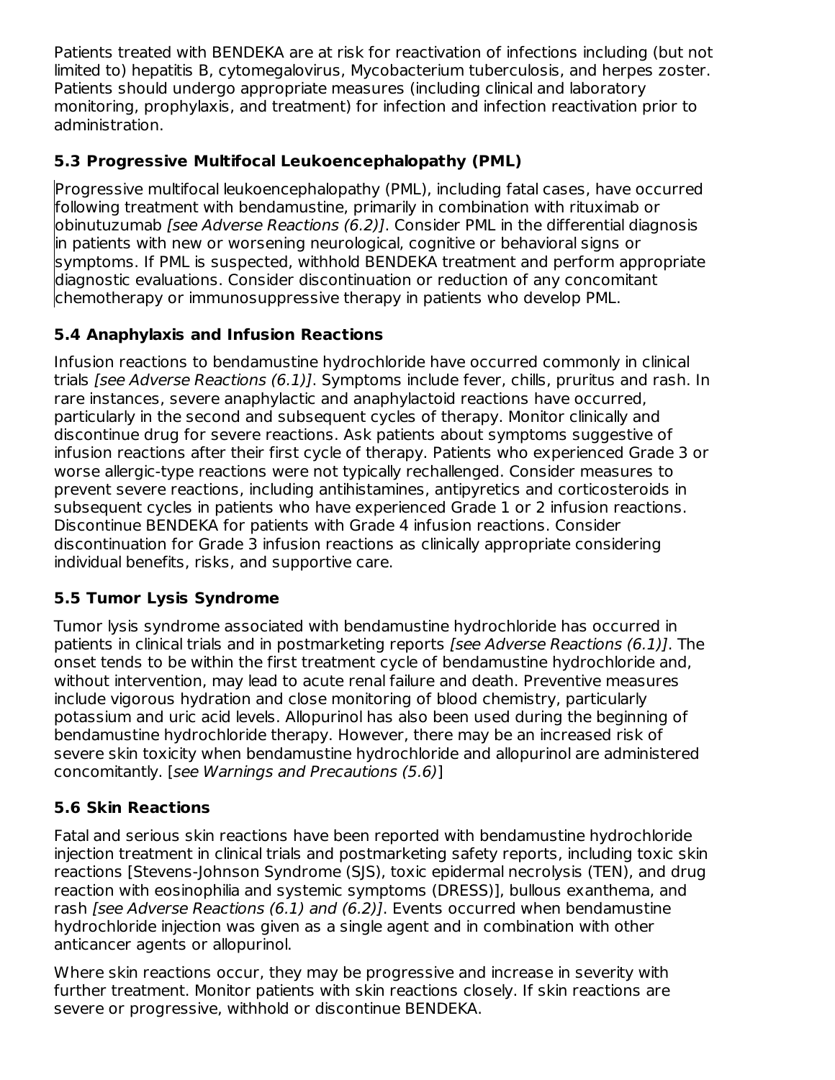Patients treated with BENDEKA are at risk for reactivation of infections including (but not limited to) hepatitis B, cytomegalovirus, Mycobacterium tuberculosis, and herpes zoster. Patients should undergo appropriate measures (including clinical and laboratory monitoring, prophylaxis, and treatment) for infection and infection reactivation prior to administration.

# **5.3 Progressive Multifocal Leukoencephalopathy (PML)**

Progressive multifocal leukoencephalopathy (PML), including fatal cases, have occurred following treatment with bendamustine, primarily in combination with rituximab or obinutuzumab [see Adverse Reactions (6.2)]. Consider PML in the differential diagnosis in patients with new or worsening neurological, cognitive or behavioral signs or symptoms. If PML is suspected, withhold BENDEKA treatment and perform appropriate diagnostic evaluations. Consider discontinuation or reduction of any concomitant chemotherapy or immunosuppressive therapy in patients who develop PML.

# **5.4 Anaphylaxis and Infusion Reactions**

Infusion reactions to bendamustine hydrochloride have occurred commonly in clinical trials *[see Adverse Reactions (6.1)]*. Symptoms include fever, chills, pruritus and rash. In rare instances, severe anaphylactic and anaphylactoid reactions have occurred, particularly in the second and subsequent cycles of therapy. Monitor clinically and discontinue drug for severe reactions. Ask patients about symptoms suggestive of infusion reactions after their first cycle of therapy. Patients who experienced Grade 3 or worse allergic-type reactions were not typically rechallenged. Consider measures to prevent severe reactions, including antihistamines, antipyretics and corticosteroids in subsequent cycles in patients who have experienced Grade 1 or 2 infusion reactions. Discontinue BENDEKA for patients with Grade 4 infusion reactions. Consider discontinuation for Grade 3 infusion reactions as clinically appropriate considering individual benefits, risks, and supportive care.

# **5.5 Tumor Lysis Syndrome**

Tumor lysis syndrome associated with bendamustine hydrochloride has occurred in patients in clinical trials and in postmarketing reports [see Adverse Reactions (6.1)]. The onset tends to be within the first treatment cycle of bendamustine hydrochloride and, without intervention, may lead to acute renal failure and death. Preventive measures include vigorous hydration and close monitoring of blood chemistry, particularly potassium and uric acid levels. Allopurinol has also been used during the beginning of bendamustine hydrochloride therapy. However, there may be an increased risk of severe skin toxicity when bendamustine hydrochloride and allopurinol are administered concomitantly. [see Warnings and Precautions (5.6)]

# **5.6 Skin Reactions**

Fatal and serious skin reactions have been reported with bendamustine hydrochloride injection treatment in clinical trials and postmarketing safety reports, including toxic skin reactions [Stevens-Johnson Syndrome (SJS), toxic epidermal necrolysis (TEN), and drug reaction with eosinophilia and systemic symptoms (DRESS)], bullous exanthema, and rash [see Adverse Reactions (6.1) and (6.2)]. Events occurred when bendamustine hydrochloride injection was given as a single agent and in combination with other anticancer agents or allopurinol.

Where skin reactions occur, they may be progressive and increase in severity with further treatment. Monitor patients with skin reactions closely. If skin reactions are severe or progressive, withhold or discontinue BENDEKA.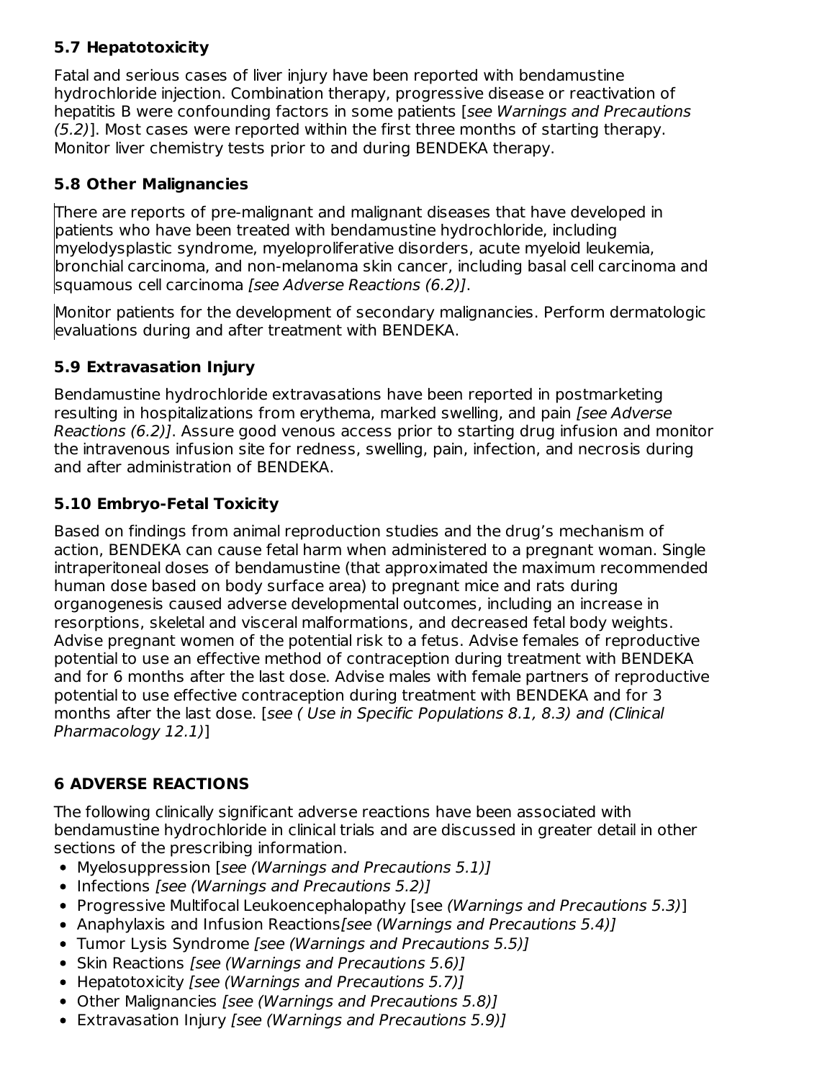# **5.7 Hepatotoxicity**

Fatal and serious cases of liver injury have been reported with bendamustine hydrochloride injection. Combination therapy, progressive disease or reactivation of hepatitis B were confounding factors in some patients [see Warnings and Precautions (5.2)]. Most cases were reported within the first three months of starting therapy. Monitor liver chemistry tests prior to and during BENDEKA therapy.

# **5.8 Other Malignancies**

There are reports of pre-malignant and malignant diseases that have developed in patients who have been treated with bendamustine hydrochloride, including myelodysplastic syndrome, myeloproliferative disorders, acute myeloid leukemia, bronchial carcinoma, and non-melanoma skin cancer, including basal cell carcinoma and squamous cell carcinoma [see Adverse Reactions (6.2)].

Monitor patients for the development of secondary malignancies. Perform dermatologic evaluations during and after treatment with BENDEKA.

# **5.9 Extravasation Injury**

Bendamustine hydrochloride extravasations have been reported in postmarketing resulting in hospitalizations from erythema, marked swelling, and pain [see Adverse Reactions (6.2)]. Assure good venous access prior to starting drug infusion and monitor the intravenous infusion site for redness, swelling, pain, infection, and necrosis during and after administration of BENDEKA.

# **5.10 Embryo-Fetal Toxicity**

Based on findings from animal reproduction studies and the drug's mechanism of action, BENDEKA can cause fetal harm when administered to a pregnant woman. Single intraperitoneal doses of bendamustine (that approximated the maximum recommended human dose based on body surface area) to pregnant mice and rats during organogenesis caused adverse developmental outcomes, including an increase in resorptions, skeletal and visceral malformations, and decreased fetal body weights. Advise pregnant women of the potential risk to a fetus. Advise females of reproductive potential to use an effective method of contraception during treatment with BENDEKA and for 6 months after the last dose. Advise males with female partners of reproductive potential to use effective contraception during treatment with BENDEKA and for 3 months after the last dose. [see ( Use in Specific Populations 8.1, 8.3) and (Clinical Pharmacology 12.1)]

# **6 ADVERSE REACTIONS**

The following clinically significant adverse reactions have been associated with bendamustine hydrochloride in clinical trials and are discussed in greater detail in other sections of the prescribing information.

- Myelosuppression [see (Warnings and Precautions 5.1)]
- Infections [see (Warnings and Precautions 5.2)]
- Progressive Multifocal Leukoencephalopathy [see (Warnings and Precautions 5.3)]
- Anaphylaxis and Infusion Reactions [see (Warnings and Precautions 5.4)]
- Tumor Lysis Syndrome [see (Warnings and Precautions 5.5)]
- Skin Reactions [see (Warnings and Precautions 5.6)]
- Hepatotoxicity [see (Warnings and Precautions 5.7)]
- Other Malignancies [see (Warnings and Precautions 5.8)]
- Extravasation Injury [see (Warnings and Precautions 5.9)]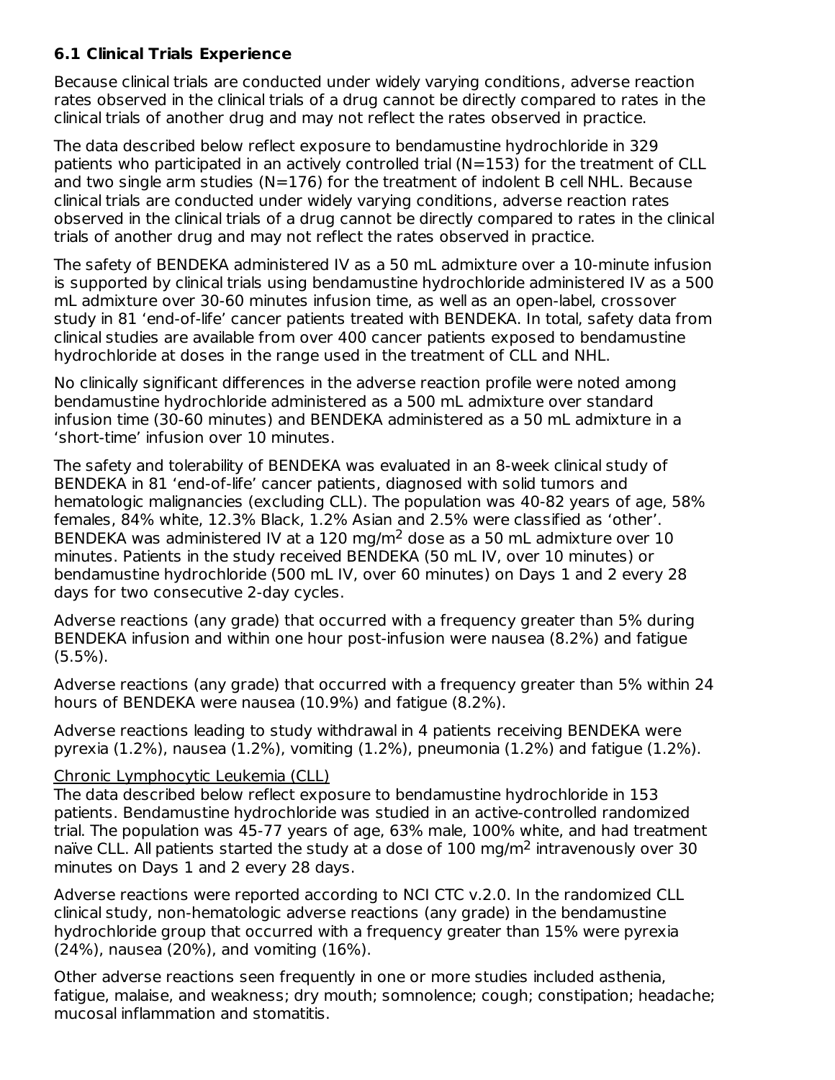# **6.1 Clinical Trials Experience**

Because clinical trials are conducted under widely varying conditions, adverse reaction rates observed in the clinical trials of a drug cannot be directly compared to rates in the clinical trials of another drug and may not reflect the rates observed in practice.

The data described below reflect exposure to bendamustine hydrochloride in 329 patients who participated in an actively controlled trial (N=153) for the treatment of CLL and two single arm studies ( $N=176$ ) for the treatment of indolent B cell NHL. Because clinical trials are conducted under widely varying conditions, adverse reaction rates observed in the clinical trials of a drug cannot be directly compared to rates in the clinical trials of another drug and may not reflect the rates observed in practice.

The safety of BENDEKA administered IV as a 50 mL admixture over a 10-minute infusion is supported by clinical trials using bendamustine hydrochloride administered IV as a 500 mL admixture over 30-60 minutes infusion time, as well as an open-label, crossover study in 81 'end-of-life' cancer patients treated with BENDEKA. In total, safety data from clinical studies are available from over 400 cancer patients exposed to bendamustine hydrochloride at doses in the range used in the treatment of CLL and NHL.

No clinically significant differences in the adverse reaction profile were noted among bendamustine hydrochloride administered as a 500 mL admixture over standard infusion time (30-60 minutes) and BENDEKA administered as a 50 mL admixture in a 'short-time' infusion over 10 minutes.

The safety and tolerability of BENDEKA was evaluated in an 8-week clinical study of BENDEKA in 81 'end-of-life' cancer patients, diagnosed with solid tumors and hematologic malignancies (excluding CLL). The population was 40-82 years of age, 58% females, 84% white, 12.3% Black, 1.2% Asian and 2.5% were classified as 'other'. BENDEKA was administered IV at a 120 mg/m<sup>2</sup> dose as a 50 mL admixture over 10 minutes. Patients in the study received BENDEKA (50 mL IV, over 10 minutes) or bendamustine hydrochloride (500 mL IV, over 60 minutes) on Days 1 and 2 every 28 days for two consecutive 2-day cycles.

Adverse reactions (any grade) that occurred with a frequency greater than 5% during BENDEKA infusion and within one hour post-infusion were nausea (8.2%) and fatigue  $(5.5\%)$ .

Adverse reactions (any grade) that occurred with a frequency greater than 5% within 24 hours of BENDEKA were nausea (10.9%) and fatigue (8.2%).

Adverse reactions leading to study withdrawal in 4 patients receiving BENDEKA were pyrexia (1.2%), nausea (1.2%), vomiting (1.2%), pneumonia (1.2%) and fatigue (1.2%).

## Chronic Lymphocytic Leukemia (CLL)

The data described below reflect exposure to bendamustine hydrochloride in 153 patients. Bendamustine hydrochloride was studied in an active-controlled randomized trial. The population was 45-77 years of age, 63% male, 100% white, and had treatment naïve CLL. All patients started the study at a dose of  $100 \text{ mg/m}^2$  intravenously over 30 minutes on Days 1 and 2 every 28 days.

Adverse reactions were reported according to NCI CTC v.2.0. In the randomized CLL clinical study, non-hematologic adverse reactions (any grade) in the bendamustine hydrochloride group that occurred with a frequency greater than 15% were pyrexia (24%), nausea (20%), and vomiting (16%).

Other adverse reactions seen frequently in one or more studies included asthenia, fatigue, malaise, and weakness; dry mouth; somnolence; cough; constipation; headache; mucosal inflammation and stomatitis.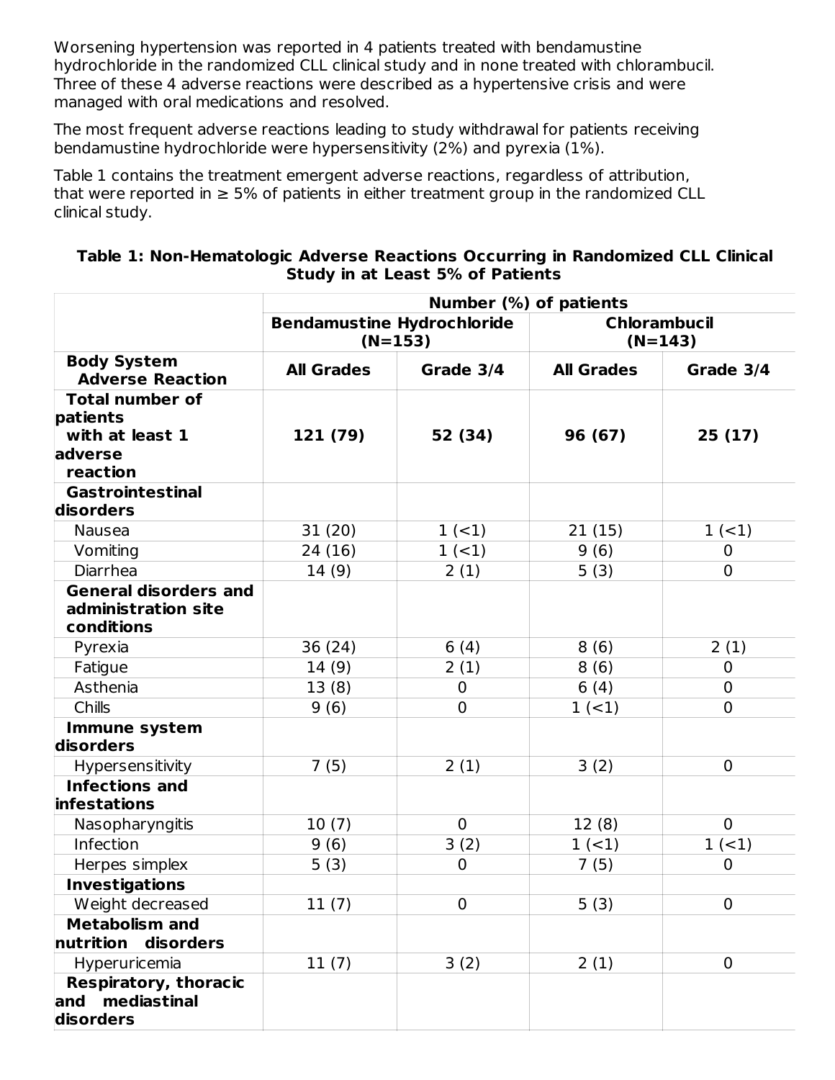Worsening hypertension was reported in 4 patients treated with bendamustine hydrochloride in the randomized CLL clinical study and in none treated with chlorambucil. Three of these 4 adverse reactions were described as a hypertensive crisis and were managed with oral medications and resolved.

The most frequent adverse reactions leading to study withdrawal for patients receiving bendamustine hydrochloride were hypersensitivity (2%) and pyrexia (1%).

Table 1 contains the treatment emergent adverse reactions, regardless of attribution, that were reported in  $\geq$  5% of patients in either treatment group in the randomized CLL clinical study.

#### **Table 1: Non-Hematologic Adverse Reactions Occurring in Randomized CLL Clinical Study in at Least 5% of Patients**

|                                                                              | Number (%) of patients            |                |                     |                |
|------------------------------------------------------------------------------|-----------------------------------|----------------|---------------------|----------------|
|                                                                              | <b>Bendamustine Hydrochloride</b> | $(N=153)$      | <b>Chlorambucil</b> | $(N=143)$      |
| <b>Body System</b><br><b>Adverse Reaction</b>                                | <b>All Grades</b>                 | Grade 3/4      | <b>All Grades</b>   | Grade 3/4      |
| <b>Total number of</b><br>patients<br>with at least 1<br>adverse<br>reaction | 121 (79)                          | 52 (34)        | 96 (67)             | 25(17)         |
| <b>Gastrointestinal</b>                                                      |                                   |                |                     |                |
| disorders                                                                    |                                   |                |                     |                |
| Nausea                                                                       | 31(20)                            | $1 (-1)$       | 21(15)              | $1 (-1)$       |
| Vomiting                                                                     | 24 (16)                           | $1 (-1)$       | 9(6)                | $\mathbf 0$    |
| Diarrhea                                                                     | 14(9)                             | 2(1)           | 5(3)                | $\mathbf{0}$   |
| <b>General disorders and</b><br>administration site<br>conditions            |                                   |                |                     |                |
| Pyrexia                                                                      | 36 (24)                           | 6(4)           | 8(6)                | 2(1)           |
| Fatigue                                                                      | 14(9)                             | 2(1)           | 8(6)                | $\mathbf 0$    |
| Asthenia                                                                     | 13(8)                             | 0              | 6(4)                | $\overline{0}$ |
| Chills                                                                       | 9(6)                              | $\overline{0}$ | $1 (-1)$            | $\mathbf 0$    |
| <b>Immune system</b><br>disorders                                            |                                   |                |                     |                |
| Hypersensitivity                                                             | 7(5)                              | 2(1)           | 3(2)                | $\overline{0}$ |
| <b>Infections and</b><br>infestations                                        |                                   |                |                     |                |
| Nasopharyngitis                                                              | 10(7)                             | $\mathbf 0$    | 12(8)               | $\Omega$       |
| Infection                                                                    | 9(6)                              | 3(2)           | $1 (-1)$            | $1 (-1)$       |
| Herpes simplex                                                               | 5(3)                              | $\overline{0}$ | 7(5)                | $\mathbf 0$    |
| <b>Investigations</b>                                                        |                                   |                |                     |                |
| Weight decreased                                                             | 11(7)                             | $\overline{0}$ | 5(3)                | $\overline{0}$ |
| <b>Metabolism and</b><br>nutrition<br>disorders                              |                                   |                |                     |                |
| Hyperuricemia                                                                | 11(7)                             | 3(2)           | 2(1)                | $\mathbf{0}$   |
| <b>Respiratory, thoracic</b><br>and mediastinal<br>disorders                 |                                   |                |                     |                |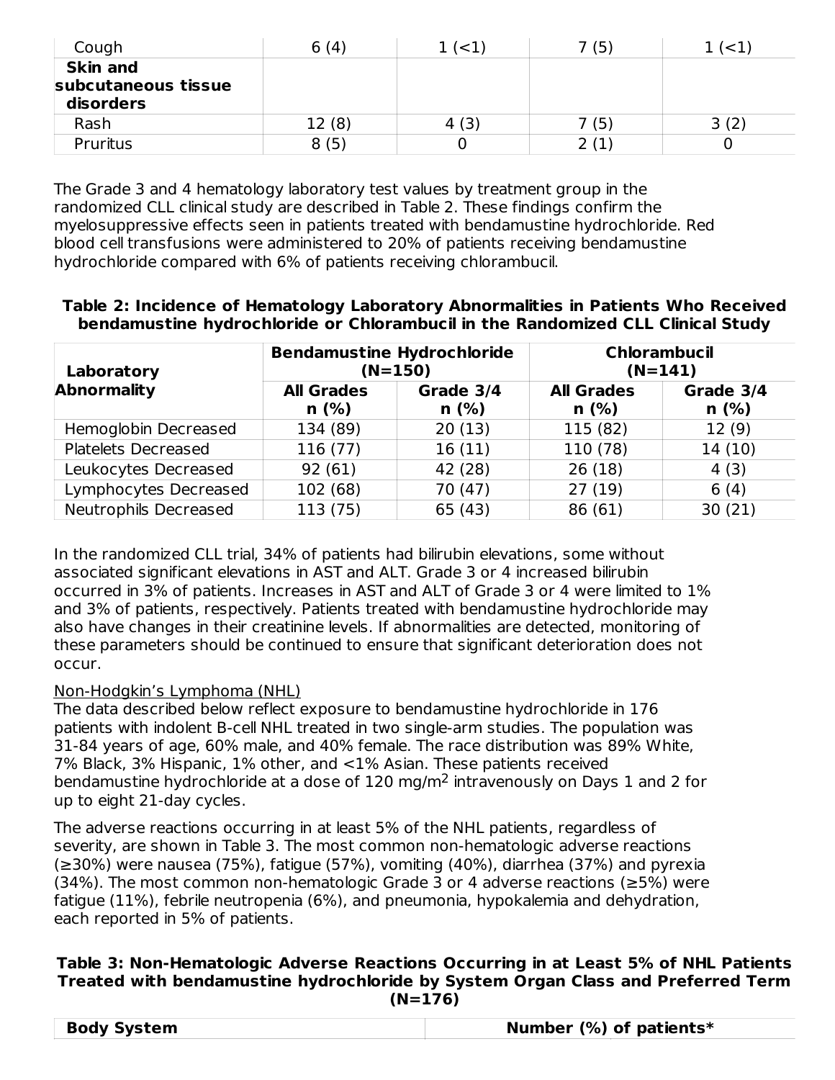| Cough                                               | 6(4)  | 1 ( < 1) | (5)   | $\leq$ 1 $\leq$ |
|-----------------------------------------------------|-------|----------|-------|-----------------|
| <b>Skin and</b><br>subcutaneous tissue<br>disorders |       |          |       |                 |
| Rash                                                | 12(8) | 4 (3)    | 7 (5) | 3(2)            |
| Pruritus                                            | 8(5)  |          |       |                 |

The Grade 3 and 4 hematology laboratory test values by treatment group in the randomized CLL clinical study are described in Table 2. These findings confirm the myelosuppressive effects seen in patients treated with bendamustine hydrochloride. Red blood cell transfusions were administered to 20% of patients receiving bendamustine hydrochloride compared with 6% of patients receiving chlorambucil.

#### **Table 2: Incidence of Hematology Laboratory Abnormalities in Patients Who Received bendamustine hydrochloride or Chlorambucil in the Randomized CLL Clinical Study**

| Laboratory            | <b>Bendamustine Hydrochloride</b><br>$(N=150)$ |                   |                           | <b>Chlorambucil</b><br>$(N=141)$ |
|-----------------------|------------------------------------------------|-------------------|---------------------------|----------------------------------|
| <b>Abnormality</b>    | <b>All Grades</b><br>n(%)                      | Grade 3/4<br>n(%) | <b>All Grades</b><br>n(%) | Grade 3/4<br>n(%)                |
| Hemoglobin Decreased  | 134 (89)                                       | 20(13)            | 115 (82)                  | 12(9)                            |
| Platelets Decreased   | 116(77)                                        | 16(11)            | 110 (78)                  | 14(10)                           |
| Leukocytes Decreased  | 92(61)                                         | 42 (28)           | 26(18)                    | 4(3)                             |
| Lymphocytes Decreased | 102(68)                                        | 70 (47)           | 27(19)                    | 6(4)                             |
| Neutrophils Decreased | 113 (75)                                       | 65 (43)           | 86 (61)                   | 30(21)                           |

In the randomized CLL trial, 34% of patients had bilirubin elevations, some without associated significant elevations in AST and ALT. Grade 3 or 4 increased bilirubin occurred in 3% of patients. Increases in AST and ALT of Grade 3 or 4 were limited to 1% and 3% of patients, respectively. Patients treated with bendamustine hydrochloride may also have changes in their creatinine levels. If abnormalities are detected, monitoring of these parameters should be continued to ensure that significant deterioration does not occur.

## Non-Hodgkin's Lymphoma (NHL)

The data described below reflect exposure to bendamustine hydrochloride in 176 patients with indolent B-cell NHL treated in two single-arm studies. The population was 31-84 years of age, 60% male, and 40% female. The race distribution was 89% White, 7% Black, 3% Hispanic, 1% other, and <1% Asian. These patients received bendamustine hydrochloride at a dose of  $120 \text{ mg/m}^2$  intravenously on Days 1 and 2 for up to eight 21-day cycles.

The adverse reactions occurring in at least 5% of the NHL patients, regardless of severity, are shown in Table 3. The most common non-hematologic adverse reactions (≥30%) were nausea (75%), fatigue (57%), vomiting (40%), diarrhea (37%) and pyrexia (34%). The most common non-hematologic Grade 3 or 4 adverse reactions (≥5%) were fatigue (11%), febrile neutropenia (6%), and pneumonia, hypokalemia and dehydration, each reported in 5% of patients.

#### **Table 3: Non-Hematologic Adverse Reactions Occurring in at Least 5% of NHL Patients Treated with bendamustine hydrochloride by System Organ Class and Preferred Term (N=176)**

|--|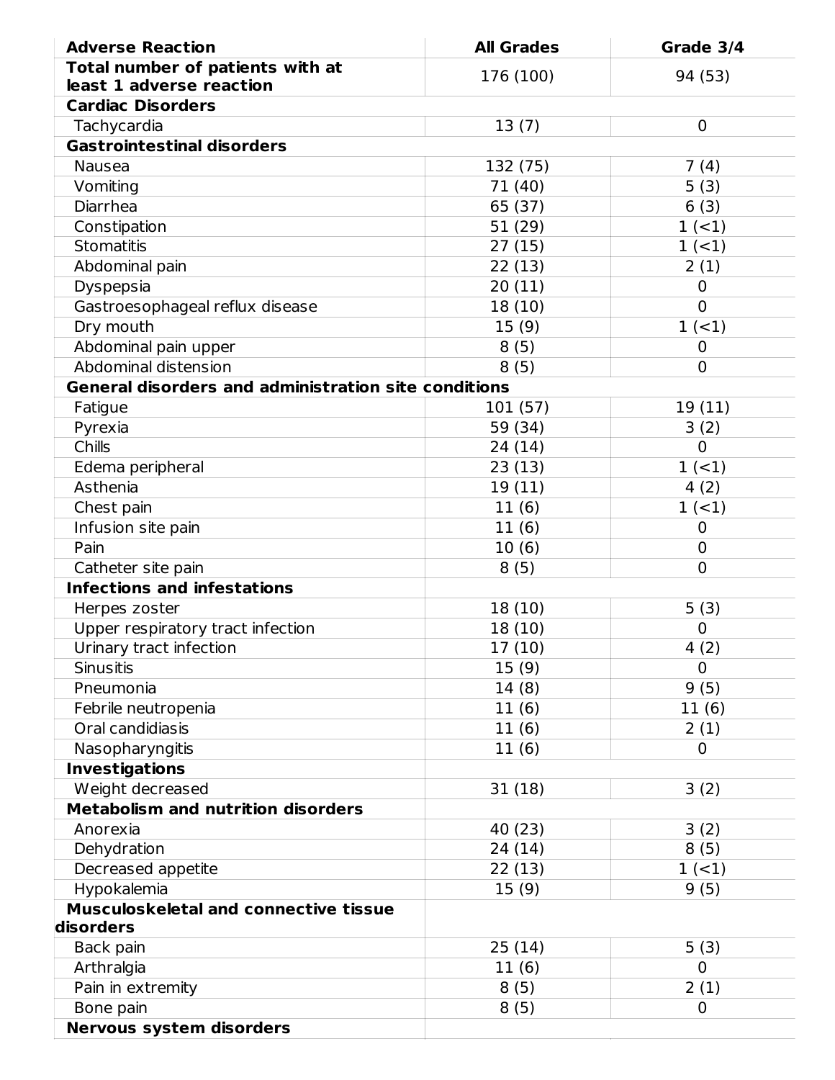| <b>Adverse Reaction</b>                                     | <b>All Grades</b> | Grade 3/4                        |
|-------------------------------------------------------------|-------------------|----------------------------------|
| Total number of patients with at                            | 176 (100)         | 94 (53)                          |
| least 1 adverse reaction                                    |                   |                                  |
| <b>Cardiac Disorders</b>                                    |                   |                                  |
| Tachycardia                                                 | 13(7)             | 0                                |
| <b>Gastrointestinal disorders</b>                           |                   |                                  |
| <b>Nausea</b>                                               | 132 (75)          | 7(4)                             |
| Vomiting                                                    | 71 (40)           | 5(3)                             |
| Diarrhea                                                    | 65 (37)           | 6(3)                             |
| Constipation                                                | 51 (29)           | $1 (-1)$                         |
| <b>Stomatitis</b>                                           | 27(15)            | $1 (-1)$                         |
| Abdominal pain                                              | 22(13)            | 2(1)                             |
| Dyspepsia                                                   | 20(11)            | 0                                |
| Gastroesophageal reflux disease                             | 18 (10)           | $\overline{0}$                   |
| Dry mouth                                                   | 15(9)             | $1 (-1)$                         |
| Abdominal pain upper                                        | 8(5)              | $\overline{0}$                   |
| Abdominal distension                                        | 8(5)              | $\overline{0}$                   |
| <b>General disorders and administration site conditions</b> |                   |                                  |
| Fatigue                                                     | 101 (57)          | 19(11)                           |
| Pyrexia<br>Chills                                           | 59 (34)           | 3(2)<br>$\overline{0}$           |
|                                                             | 24 (14)           |                                  |
| Edema peripheral<br>Asthenia                                | 23(13)            | 1(1)                             |
|                                                             | 19(11)            | 4(2)<br>$1 (-1)$                 |
| Chest pain                                                  | 11(6)             |                                  |
| Infusion site pain<br>Pain                                  | 11(6)             | 0                                |
|                                                             | 10(6)             | $\overline{0}$<br>$\overline{0}$ |
| Catheter site pain<br><b>Infections and infestations</b>    | 8(5)              |                                  |
| Herpes zoster                                               | 18 (10)           | 5(3)                             |
| Upper respiratory tract infection                           | 18 (10)           | 0                                |
| Urinary tract infection                                     | 17(10)            | 4(2)                             |
| <b>Sinusitis</b>                                            | 15(9)             | $\overline{0}$                   |
| Pneumonia                                                   | 14(8)             | 9(5)                             |
| Febrile neutropenia                                         | 11(6)             | 11(6)                            |
| Oral candidiasis                                            | 11(6)             | 2(1)                             |
| Nasopharyngitis                                             | 11(6)             | $\mathbf 0$                      |
| <b>Investigations</b>                                       |                   |                                  |
| Weight decreased                                            | 31 (18)           | 3(2)                             |
| <b>Metabolism and nutrition disorders</b>                   |                   |                                  |
| Anorexia                                                    | 40 (23)           | 3(2)                             |
| Dehydration                                                 | 24 (14)           | 8(5)                             |
| Decreased appetite                                          | 22 (13)           | $1 (-1)$                         |
| Hypokalemia                                                 | 15(9)             | 9(5)                             |
| <b>Musculoskeletal and connective tissue</b>                |                   |                                  |
| disorders                                                   |                   |                                  |
| Back pain                                                   | 25 (14)           | 5(3)                             |
| Arthralgia                                                  | 11(6)             | $\Omega$                         |
| Pain in extremity                                           | 8(5)              | 2(1)                             |
| Bone pain                                                   | 8(5)              | 0                                |
| <b>Nervous system disorders</b>                             |                   |                                  |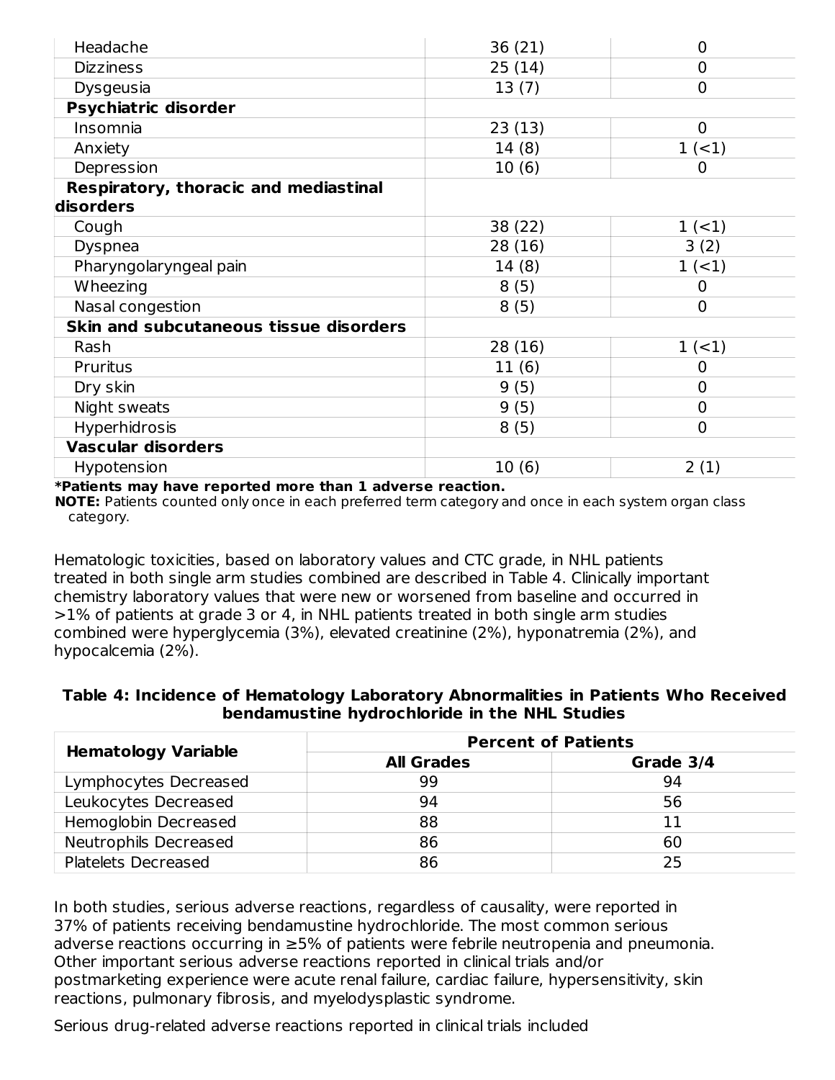| Headache                               | 36(21)  | 0              |
|----------------------------------------|---------|----------------|
| <b>Dizziness</b>                       | 25(14)  | 0              |
| Dysgeusia                              | 13(7)   | 0              |
| Psychiatric disorder                   |         |                |
| Insomnia                               | 23(13)  | $\mathbf 0$    |
| Anxiety                                | 14(8)   | $1 (-1)$       |
| Depression                             | 10(6)   | 0              |
| Respiratory, thoracic and mediastinal  |         |                |
| disorders                              |         |                |
| Cough                                  | 38 (22) | $1 (-1)$       |
| <b>Dyspnea</b>                         | 28 (16) | 3(2)           |
| Pharyngolaryngeal pain                 | 14(8)   | $1 (-1)$       |
| Wheezing                               | 8(5)    | 0              |
| Nasal congestion                       | 8(5)    | $\overline{0}$ |
| Skin and subcutaneous tissue disorders |         |                |
| Rash                                   | 28 (16) | $1 (-1)$       |
| Pruritus                               | 11(6)   | 0              |
| Dry skin                               | 9(5)    | 0              |
| Night sweats                           | 9(5)    | 0              |
| Hyperhidrosis                          | 8(5)    | $\overline{0}$ |
| <b>Vascular disorders</b>              |         |                |
| Hypotension                            | 10(6)   | 2(1)           |

**\*Patients may have reported more than 1 adverse reaction.**

**NOTE:** Patients counted only once in each preferred term category and once in each system organ class category.

Hematologic toxicities, based on laboratory values and CTC grade, in NHL patients treated in both single arm studies combined are described in Table 4. Clinically important chemistry laboratory values that were new or worsened from baseline and occurred in >1% of patients at grade 3 or 4, in NHL patients treated in both single arm studies combined were hyperglycemia (3%), elevated creatinine (2%), hyponatremia (2%), and hypocalcemia (2%).

#### **Table 4: Incidence of Hematology Laboratory Abnormalities in Patients Who Received bendamustine hydrochloride in the NHL Studies**

| <b>Hematology Variable</b> | <b>Percent of Patients</b> |           |  |  |
|----------------------------|----------------------------|-----------|--|--|
|                            | <b>All Grades</b>          | Grade 3/4 |  |  |
| Lymphocytes Decreased      | 99                         | 94        |  |  |
| Leukocytes Decreased       | 94                         | 56        |  |  |
| Hemoglobin Decreased       | 88                         | 11        |  |  |
| Neutrophils Decreased      | 86                         | 60        |  |  |
| Platelets Decreased        | 86                         | 25        |  |  |

In both studies, serious adverse reactions, regardless of causality, were reported in 37% of patients receiving bendamustine hydrochloride. The most common serious adverse reactions occurring in ≥5% of patients were febrile neutropenia and pneumonia. Other important serious adverse reactions reported in clinical trials and/or postmarketing experience were acute renal failure, cardiac failure, hypersensitivity, skin reactions, pulmonary fibrosis, and myelodysplastic syndrome.

Serious drug-related adverse reactions reported in clinical trials included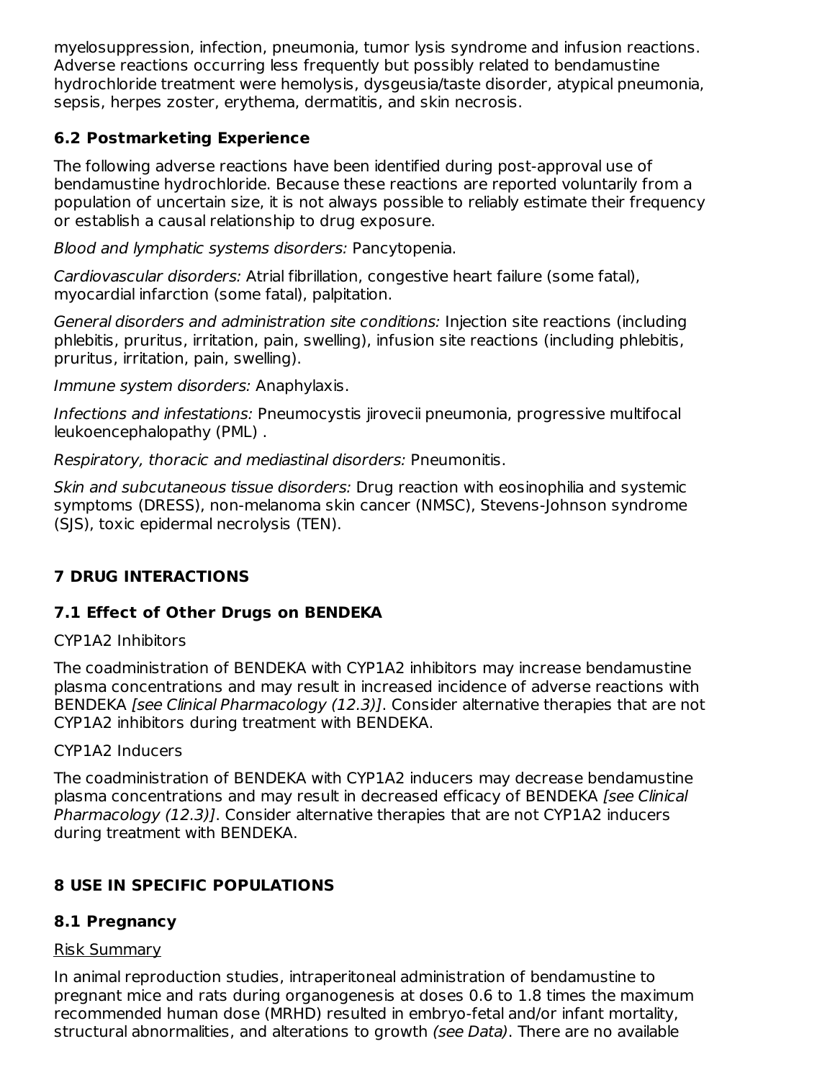myelosuppression, infection, pneumonia, tumor lysis syndrome and infusion reactions. Adverse reactions occurring less frequently but possibly related to bendamustine hydrochloride treatment were hemolysis, dysgeusia/taste disorder, atypical pneumonia, sepsis, herpes zoster, erythema, dermatitis, and skin necrosis.

# **6.2 Postmarketing Experience**

The following adverse reactions have been identified during post-approval use of bendamustine hydrochloride. Because these reactions are reported voluntarily from a population of uncertain size, it is not always possible to reliably estimate their frequency or establish a causal relationship to drug exposure.

Blood and lymphatic systems disorders: Pancytopenia.

Cardiovascular disorders: Atrial fibrillation, congestive heart failure (some fatal), myocardial infarction (some fatal), palpitation.

General disorders and administration site conditions: Injection site reactions (including phlebitis, pruritus, irritation, pain, swelling), infusion site reactions (including phlebitis, pruritus, irritation, pain, swelling).

Immune system disorders: Anaphylaxis.

Infections and infestations: Pneumocystis jirovecii pneumonia, progressive multifocal leukoencephalopathy (PML) .

Respiratory, thoracic and mediastinal disorders: Pneumonitis.

Skin and subcutaneous tissue disorders: Drug reaction with eosinophilia and systemic symptoms (DRESS), non-melanoma skin cancer (NMSC), Stevens-Johnson syndrome (SJS), toxic epidermal necrolysis (TEN).

# **7 DRUG INTERACTIONS**

# **7.1 Effect of Other Drugs on BENDEKA**

## CYP1A2 Inhibitors

The coadministration of BENDEKA with CYP1A2 inhibitors may increase bendamustine plasma concentrations and may result in increased incidence of adverse reactions with BENDEKA [see Clinical Pharmacology (12.3)]. Consider alternative therapies that are not CYP1A2 inhibitors during treatment with BENDEKA.

## CYP1A2 Inducers

The coadministration of BENDEKA with CYP1A2 inducers may decrease bendamustine plasma concentrations and may result in decreased efficacy of BENDEKA [see Clinical Pharmacology (12.3)]. Consider alternative therapies that are not CYP1A2 inducers during treatment with BENDEKA.

# **8 USE IN SPECIFIC POPULATIONS**

# **8.1 Pregnancy**

## Risk Summary

In animal reproduction studies, intraperitoneal administration of bendamustine to pregnant mice and rats during organogenesis at doses 0.6 to 1.8 times the maximum recommended human dose (MRHD) resulted in embryo-fetal and/or infant mortality, structural abnormalities, and alterations to growth (see Data). There are no available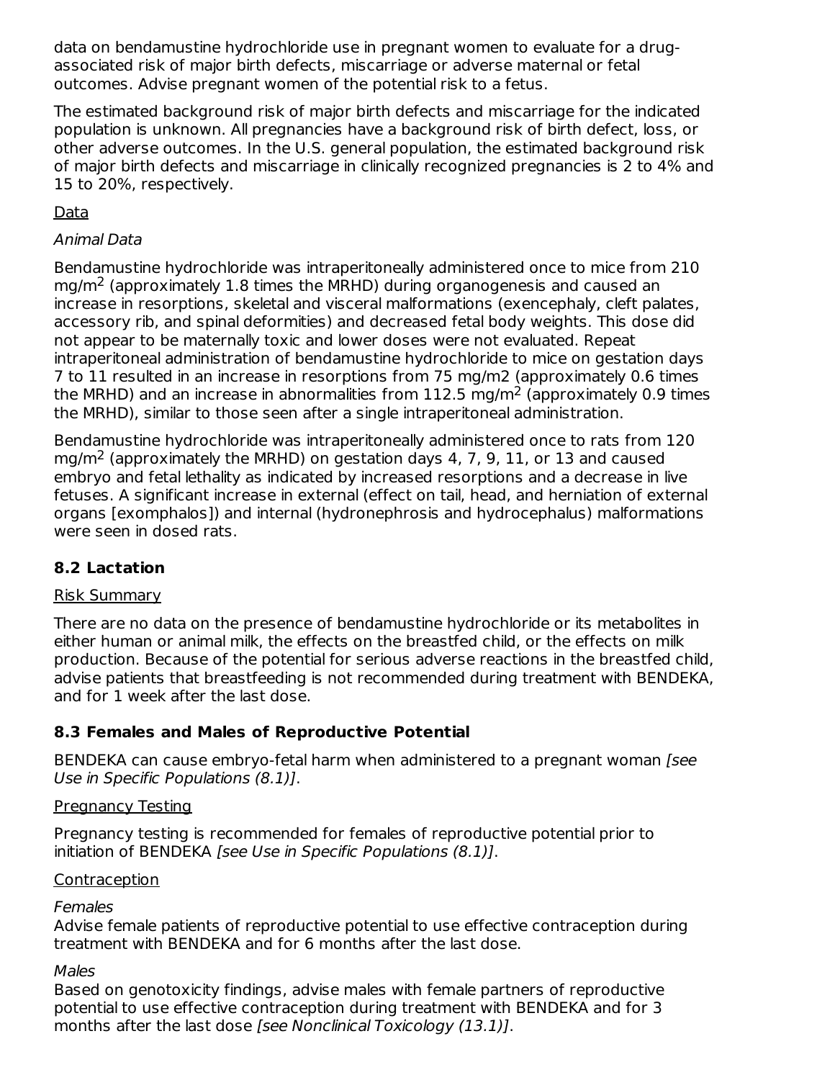data on bendamustine hydrochloride use in pregnant women to evaluate for a drugassociated risk of major birth defects, miscarriage or adverse maternal or fetal outcomes. Advise pregnant women of the potential risk to a fetus.

The estimated background risk of major birth defects and miscarriage for the indicated population is unknown. All pregnancies have a background risk of birth defect, loss, or other adverse outcomes. In the U.S. general population, the estimated background risk of major birth defects and miscarriage in clinically recognized pregnancies is 2 to 4% and 15 to 20%, respectively.

Data

# Animal Data

Bendamustine hydrochloride was intraperitoneally administered once to mice from 210  $mg/m<sup>2</sup>$  (approximately 1.8 times the MRHD) during organogenesis and caused an increase in resorptions, skeletal and visceral malformations (exencephaly, cleft palates, accessory rib, and spinal deformities) and decreased fetal body weights. This dose did not appear to be maternally toxic and lower doses were not evaluated. Repeat intraperitoneal administration of bendamustine hydrochloride to mice on gestation days 7 to 11 resulted in an increase in resorptions from 75 mg/m2 (approximately 0.6 times the MRHD) and an increase in abnormalities from 112.5 mg/m<sup>2</sup> (approximately 0.9 times the MRHD), similar to those seen after a single intraperitoneal administration.

Bendamustine hydrochloride was intraperitoneally administered once to rats from 120 mg/m<sup>2</sup> (approximately the MRHD) on gestation days 4, 7, 9, 11, or 13 and caused embryo and fetal lethality as indicated by increased resorptions and a decrease in live fetuses. A significant increase in external (effect on tail, head, and herniation of external organs [exomphalos]) and internal (hydronephrosis and hydrocephalus) malformations were seen in dosed rats.

# **8.2 Lactation**

## Risk Summary

There are no data on the presence of bendamustine hydrochloride or its metabolites in either human or animal milk, the effects on the breastfed child, or the effects on milk production. Because of the potential for serious adverse reactions in the breastfed child, advise patients that breastfeeding is not recommended during treatment with BENDEKA, and for 1 week after the last dose.

# **8.3 Females and Males of Reproductive Potential**

BENDEKA can cause embryo-fetal harm when administered to a pregnant woman [see Use in Specific Populations (8.1)].

## Pregnancy Testing

Pregnancy testing is recommended for females of reproductive potential prior to initiation of BENDEKA [see Use in Specific Populations (8.1)].

## **Contraception**

## **Females**

Advise female patients of reproductive potential to use effective contraception during treatment with BENDEKA and for 6 months after the last dose.

## Males

Based on genotoxicity findings, advise males with female partners of reproductive potential to use effective contraception during treatment with BENDEKA and for 3 months after the last dose [see Nonclinical Toxicology (13.1)].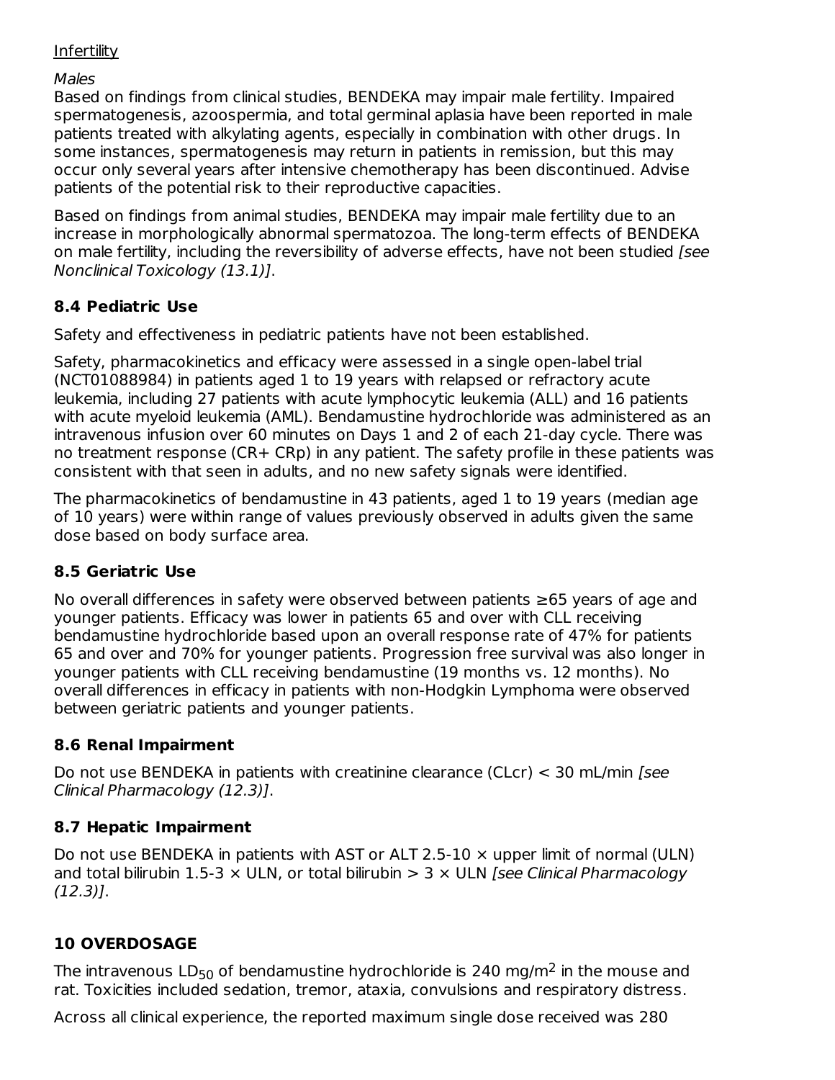## **Infertility**

Males

Based on findings from clinical studies, BENDEKA may impair male fertility. Impaired spermatogenesis, azoospermia, and total germinal aplasia have been reported in male patients treated with alkylating agents, especially in combination with other drugs. In some instances, spermatogenesis may return in patients in remission, but this may occur only several years after intensive chemotherapy has been discontinued. Advise patients of the potential risk to their reproductive capacities.

Based on findings from animal studies, BENDEKA may impair male fertility due to an increase in morphologically abnormal spermatozoa. The long-term effects of BENDEKA on male fertility, including the reversibility of adverse effects, have not been studied [see Nonclinical Toxicology (13.1)].

# **8.4 Pediatric Use**

Safety and effectiveness in pediatric patients have not been established.

Safety, pharmacokinetics and efficacy were assessed in a single open-label trial (NCT01088984) in patients aged 1 to 19 years with relapsed or refractory acute leukemia, including 27 patients with acute lymphocytic leukemia (ALL) and 16 patients with acute myeloid leukemia (AML). Bendamustine hydrochloride was administered as an intravenous infusion over 60 minutes on Days 1 and 2 of each 21-day cycle. There was no treatment response (CR+ CRp) in any patient. The safety profile in these patients was consistent with that seen in adults, and no new safety signals were identified.

The pharmacokinetics of bendamustine in 43 patients, aged 1 to 19 years (median age of 10 years) were within range of values previously observed in adults given the same dose based on body surface area.

# **8.5 Geriatric Use**

No overall differences in safety were observed between patients ≥65 years of age and younger patients. Efficacy was lower in patients 65 and over with CLL receiving bendamustine hydrochloride based upon an overall response rate of 47% for patients 65 and over and 70% for younger patients. Progression free survival was also longer in younger patients with CLL receiving bendamustine (19 months vs. 12 months). No overall differences in efficacy in patients with non-Hodgkin Lymphoma were observed between geriatric patients and younger patients.

# **8.6 Renal Impairment**

Do not use BENDEKA in patients with creatinine clearance (CLcr) < 30 mL/min [see Clinical Pharmacology (12.3)].

## **8.7 Hepatic Impairment**

Do not use BENDEKA in patients with AST or ALT 2.5-10  $\times$  upper limit of normal (ULN) and total bilirubin 1.5-3  $\times$  ULN, or total bilirubin  $> 3 \times$  ULN [see Clinical Pharmacology (12.3)].

# **10 OVERDOSAGE**

The intravenous LD<sub>50</sub> of bendamustine hydrochloride is 240 mg/m<sup>2</sup> in the mouse and rat. Toxicities included sedation, tremor, ataxia, convulsions and respiratory distress.

Across all clinical experience, the reported maximum single dose received was 280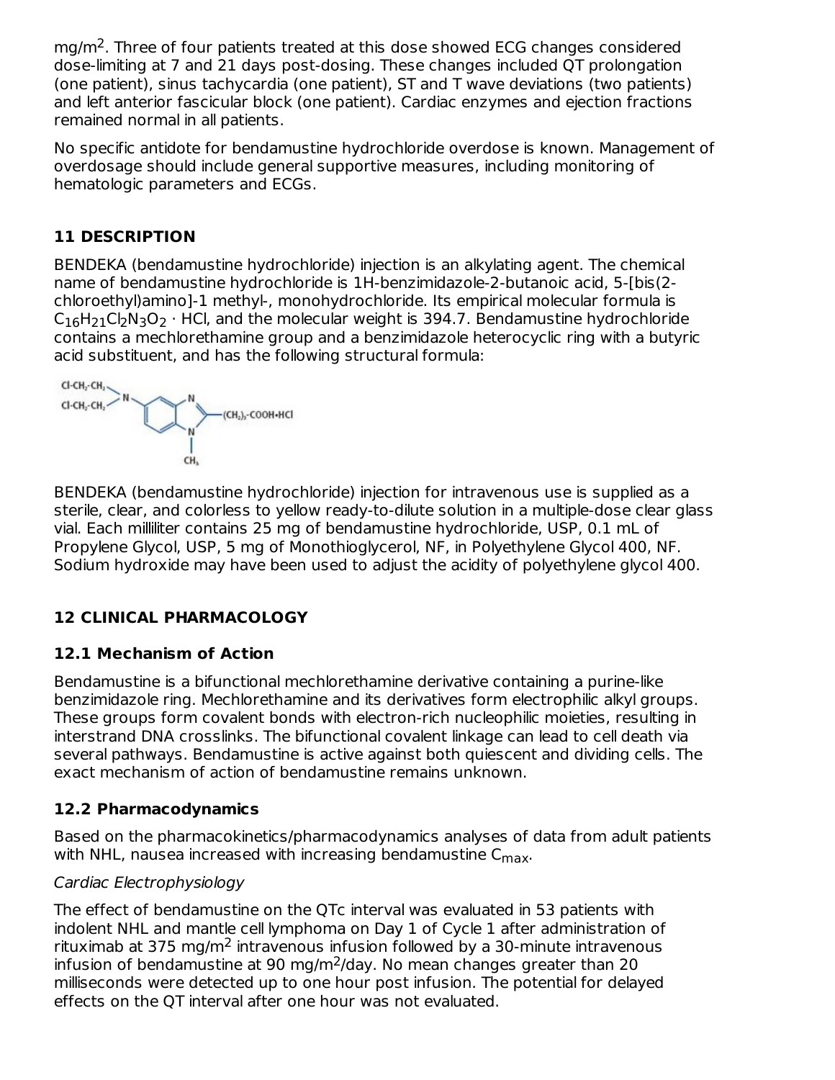$mg/m<sup>2</sup>$ . Three of four patients treated at this dose showed ECG changes considered dose-limiting at 7 and 21 days post-dosing. These changes included QT prolongation (one patient), sinus tachycardia (one patient), ST and T wave deviations (two patients) and left anterior fascicular block (one patient). Cardiac enzymes and ejection fractions remained normal in all patients.

No specific antidote for bendamustine hydrochloride overdose is known. Management of overdosage should include general supportive measures, including monitoring of hematologic parameters and ECGs.

# **11 DESCRIPTION**

BENDEKA (bendamustine hydrochloride) injection is an alkylating agent. The chemical name of bendamustine hydrochloride is 1H-benzimidazole-2-butanoic acid, 5-[bis(2 chloroethyl)amino]-1 methyl-, monohydrochloride. Its empirical molecular formula is  $C_{16}H_{21}Cl_2N_3O_2\cdot$  HCl, and the molecular weight is 394.7. Bendamustine hydrochloride contains a mechlorethamine group and a benzimidazole heterocyclic ring with a butyric acid substituent, and has the following structural formula:



BENDEKA (bendamustine hydrochloride) injection for intravenous use is supplied as a sterile, clear, and colorless to yellow ready-to-dilute solution in a multiple-dose clear glass vial. Each milliliter contains 25 mg of bendamustine hydrochloride, USP, 0.1 mL of Propylene Glycol, USP, 5 mg of Monothioglycerol, NF, in Polyethylene Glycol 400, NF. Sodium hydroxide may have been used to adjust the acidity of polyethylene glycol 400.

# **12 CLINICAL PHARMACOLOGY**

## **12.1 Mechanism of Action**

Bendamustine is a bifunctional mechlorethamine derivative containing a purine-like benzimidazole ring. Mechlorethamine and its derivatives form electrophilic alkyl groups. These groups form covalent bonds with electron-rich nucleophilic moieties, resulting in interstrand DNA crosslinks. The bifunctional covalent linkage can lead to cell death via several pathways. Bendamustine is active against both quiescent and dividing cells. The exact mechanism of action of bendamustine remains unknown.

## **12.2 Pharmacodynamics**

Based on the pharmacokinetics/pharmacodynamics analyses of data from adult patients with NHL, nausea increased with increasing bendamustine  $\mathsf{C}_{\mathsf{max}}$ .

## Cardiac Electrophysiology

The effect of bendamustine on the QTc interval was evaluated in 53 patients with indolent NHL and mantle cell lymphoma on Day 1 of Cycle 1 after administration of rituximab at 375 mg/m<sup>2</sup> intravenous infusion followed by a 30-minute intravenous infusion of bendamustine at 90 mg/m<sup>2</sup>/day. No mean changes greater than 20 milliseconds were detected up to one hour post infusion. The potential for delayed effects on the QT interval after one hour was not evaluated.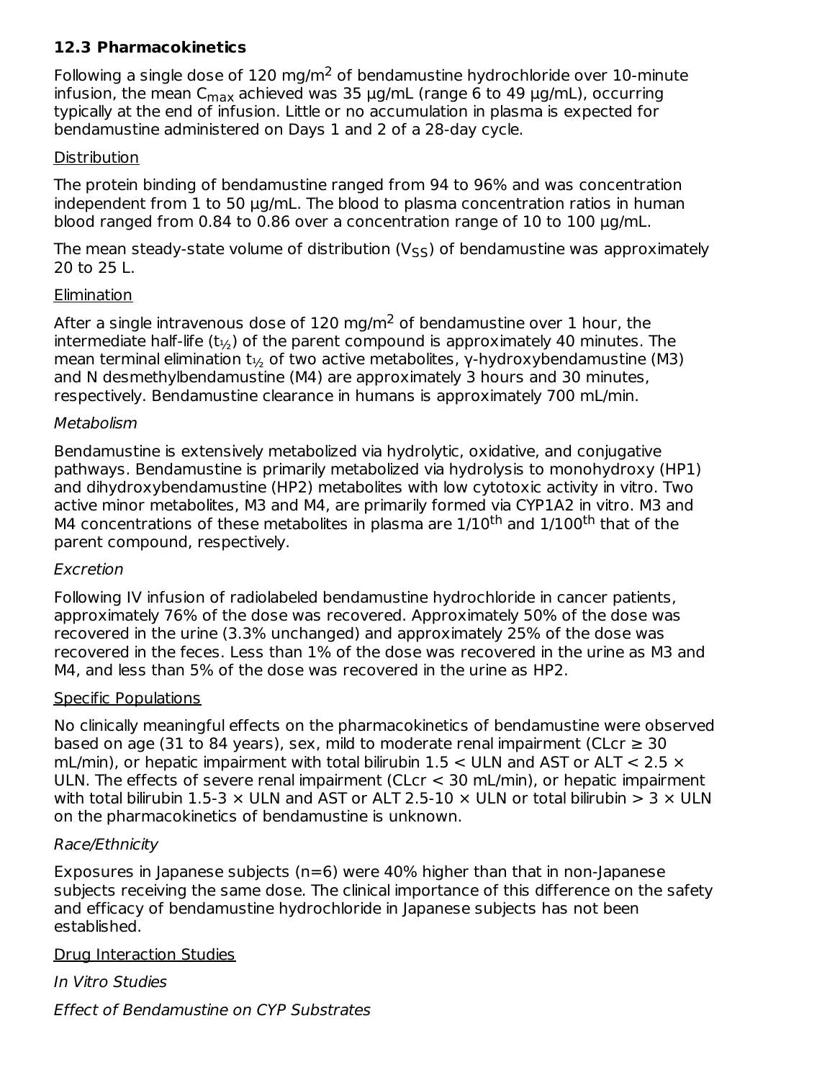# **12.3 Pharmacokinetics**

Following a single dose of 120 mg/m<sup>2</sup> of bendamustine hydrochloride over 10-minute infusion, the mean C $_{\sf max}$  achieved was 35  $\mu$ g/mL (range 6 to 49  $\mu$ g/mL), occurring typically at the end of infusion. Little or no accumulation in plasma is expected for bendamustine administered on Days 1 and 2 of a 28-day cycle.

#### Distribution

The protein binding of bendamustine ranged from 94 to 96% and was concentration independent from 1 to 50 µg/mL. The blood to plasma concentration ratios in human blood ranged from 0.84 to 0.86 over a concentration range of 10 to 100 µg/mL.

The mean steady-state volume of distribution (V<sub>SS</sub>) of bendamustine was approximately 20 to 25 L.

### **Elimination**

After a single intravenous dose of 120 mg/m<sup>2</sup> of bendamustine over 1 hour, the intermediate half-life (t $_{\nu_2}$ ) of the parent compound is approximately 40 minutes. The mean terminal elimination t $_{1/2}$  of two active metabolites, γ-hydroxybendamustine (M3) and N desmethylbendamustine (M4) are approximately 3 hours and 30 minutes, respectively. Bendamustine clearance in humans is approximately 700 mL/min.

### **Metabolism**

Bendamustine is extensively metabolized via hydrolytic, oxidative, and conjugative pathways. Bendamustine is primarily metabolized via hydrolysis to monohydroxy (HP1) and dihydroxybendamustine (HP2) metabolites with low cytotoxic activity in vitro. Two active minor metabolites, M3 and M4, are primarily formed via CYP1A2 in vitro. M3 and M4 concentrations of these metabolites in plasma are 1/10<sup>th</sup> and 1/100<sup>th</sup> that of the parent compound, respectively.

#### Excretion

Following IV infusion of radiolabeled bendamustine hydrochloride in cancer patients, approximately 76% of the dose was recovered. Approximately 50% of the dose was recovered in the urine (3.3% unchanged) and approximately 25% of the dose was recovered in the feces. Less than 1% of the dose was recovered in the urine as M3 and M4, and less than 5% of the dose was recovered in the urine as HP2.

#### Specific Populations

No clinically meaningful effects on the pharmacokinetics of bendamustine were observed based on age (31 to 84 years), sex, mild to moderate renal impairment (CLcr  $\geq$  30 mL/min), or hepatic impairment with total bilirubin 1.5  $<$  ULN and AST or ALT  $<$  2.5  $\times$ ULN. The effects of severe renal impairment (CLcr < 30 mL/min), or hepatic impairment with total bilirubin 1.5-3  $\times$  ULN and AST or ALT 2.5-10  $\times$  ULN or total bilirubin  $>$  3  $\times$  ULN on the pharmacokinetics of bendamustine is unknown.

## Race/Ethnicity

Exposures in Japanese subjects ( $n=6$ ) were 40% higher than that in non-Japanese subjects receiving the same dose. The clinical importance of this difference on the safety and efficacy of bendamustine hydrochloride in Japanese subjects has not been established.

#### Drug Interaction Studies

In Vitro Studies Effect of Bendamustine on CYP Substrates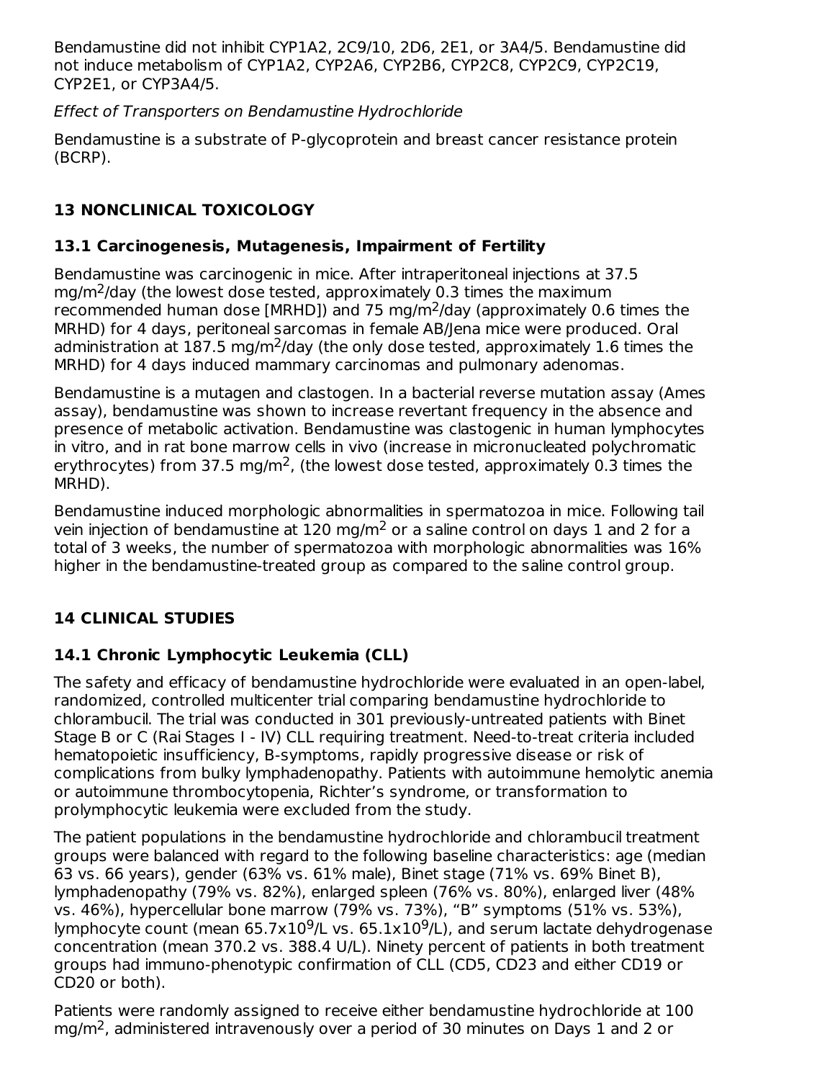Bendamustine did not inhibit CYP1A2, 2C9/10, 2D6, 2E1, or 3A4/5. Bendamustine did not induce metabolism of CYP1A2, CYP2A6, CYP2B6, CYP2C8, CYP2C9, CYP2C19, CYP2E1, or CYP3A4/5.

Effect of Transporters on Bendamustine Hydrochloride

Bendamustine is a substrate of P-glycoprotein and breast cancer resistance protein (BCRP).

# **13 NONCLINICAL TOXICOLOGY**

# **13.1 Carcinogenesis, Mutagenesis, Impairment of Fertility**

Bendamustine was carcinogenic in mice. After intraperitoneal injections at 37.5  $mg/m<sup>2</sup>/day$  (the lowest dose tested, approximately 0.3 times the maximum recommended human dose [MRHD]) and 75 mg/m<sup>2</sup>/day (approximately 0.6 times the MRHD) for 4 days, peritoneal sarcomas in female AB/Jena mice were produced. Oral administration at  $187.5$  mg/m<sup>2</sup>/day (the only dose tested, approximately 1.6 times the MRHD) for 4 days induced mammary carcinomas and pulmonary adenomas.

Bendamustine is a mutagen and clastogen. In a bacterial reverse mutation assay (Ames assay), bendamustine was shown to increase revertant frequency in the absence and presence of metabolic activation. Bendamustine was clastogenic in human lymphocytes in vitro, and in rat bone marrow cells in vivo (increase in micronucleated polychromatic erythrocytes) from 37.5 mg/m<sup>2</sup>, (the lowest dose tested, approximately 0.3 times the MRHD).

Bendamustine induced morphologic abnormalities in spermatozoa in mice. Following tail vein injection of bendamustine at  $120 \text{ mg/m}^2$  or a saline control on days 1 and 2 for a total of 3 weeks, the number of spermatozoa with morphologic abnormalities was 16% higher in the bendamustine-treated group as compared to the saline control group.

# **14 CLINICAL STUDIES**

# **14.1 Chronic Lymphocytic Leukemia (CLL)**

The safety and efficacy of bendamustine hydrochloride were evaluated in an open-label, randomized, controlled multicenter trial comparing bendamustine hydrochloride to chlorambucil. The trial was conducted in 301 previously-untreated patients with Binet Stage B or C (Rai Stages I - IV) CLL requiring treatment. Need-to-treat criteria included hematopoietic insufficiency, B-symptoms, rapidly progressive disease or risk of complications from bulky lymphadenopathy. Patients with autoimmune hemolytic anemia or autoimmune thrombocytopenia, Richter's syndrome, or transformation to prolymphocytic leukemia were excluded from the study.

The patient populations in the bendamustine hydrochloride and chlorambucil treatment groups were balanced with regard to the following baseline characteristics: age (median 63 vs. 66 years), gender (63% vs. 61% male), Binet stage (71% vs. 69% Binet B), lymphadenopathy (79% vs. 82%), enlarged spleen (76% vs. 80%), enlarged liver (48% vs. 46%), hypercellular bone marrow (79% vs. 73%), "B" symptoms (51% vs. 53%), lymphocyte count (mean  $65.7 \times 10^9$ /L vs.  $65.1 \times 10^9$ /L), and serum lactate dehydrogenase concentration (mean 370.2 vs. 388.4 U/L). Ninety percent of patients in both treatment groups had immuno-phenotypic confirmation of CLL (CD5, CD23 and either CD19 or CD20 or both).

Patients were randomly assigned to receive either bendamustine hydrochloride at 100 mg/m<sup>2</sup>, administered intravenously over a period of 30 minutes on Days 1 and 2 or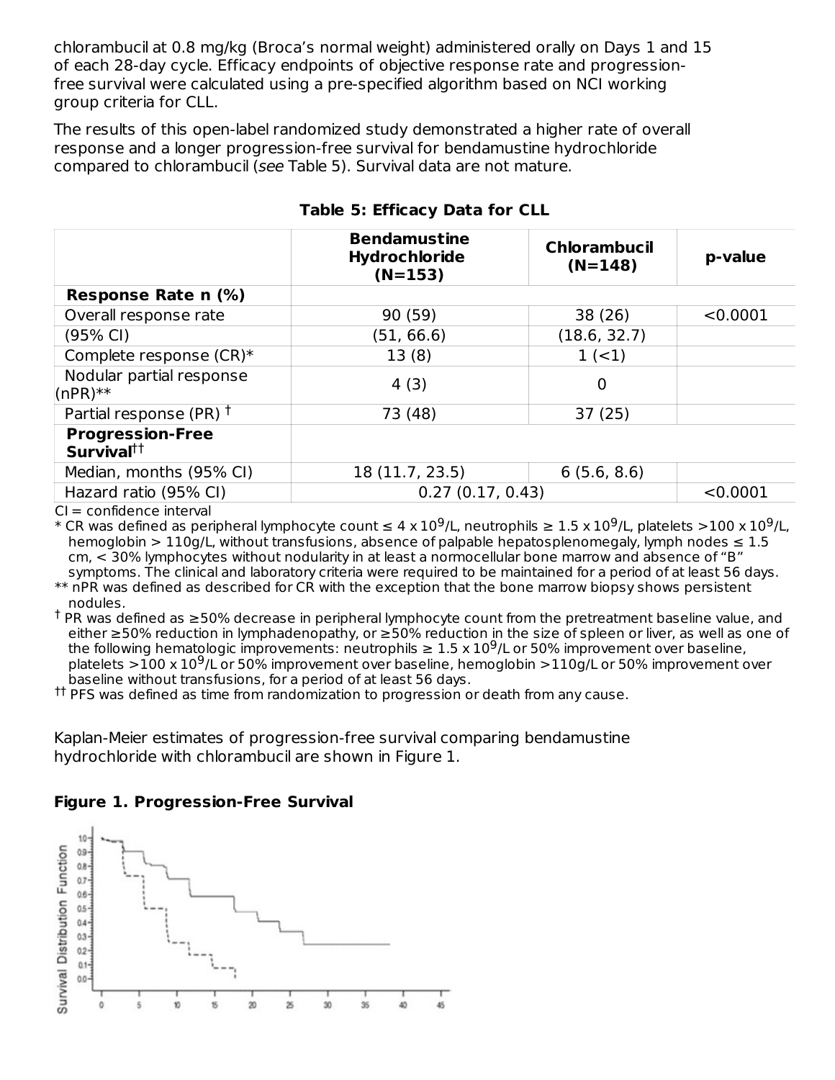chlorambucil at 0.8 mg/kg (Broca's normal weight) administered orally on Days 1 and 15 of each 28-day cycle. Efficacy endpoints of objective response rate and progressionfree survival were calculated using a pre-specified algorithm based on NCI working group criteria for CLL.

The results of this open-label randomized study demonstrated a higher rate of overall response and a longer progression-free survival for bendamustine hydrochloride compared to chlorambucil (see Table 5). Survival data are not mature.

|                                                   | <b>Bendamustine</b><br><b>Hydrochloride</b><br>$(N=153)$ | <b>Chlorambucil</b><br>$(N=148)$ | p-value  |
|---------------------------------------------------|----------------------------------------------------------|----------------------------------|----------|
| Response Rate n (%)                               |                                                          |                                  |          |
| Overall response rate                             | 90 (59)                                                  | 38 (26)                          | < 0.0001 |
| (95% CI)                                          | (51, 66.6)                                               | (18.6, 32.7)                     |          |
| Complete response (CR)*                           | 13(8)                                                    | $1 (-1)$                         |          |
| Nodular partial response<br>$(nPR)**$             | 4(3)                                                     | 0                                |          |
| Partial response (PR) <sup>†</sup>                | 73 (48)                                                  | 37(25)                           |          |
| <b>Progression-Free</b><br>Survival <sup>††</sup> |                                                          |                                  |          |
| Median, months (95% CI)                           | 18 (11.7, 23.5)                                          | 6(5.6, 8.6)                      |          |
| Hazard ratio (95% CI)                             | 0.27(0.17, 0.43)                                         |                                  | < 0.0001 |

# **Table 5: Efficacy Data for CLL**

 $CI = confidence$  interval

\* CR was defined as peripheral lymphocyte count  $\leq 4$  x  $10^9$ /L, neutrophils  $\geq 1.5$  x  $10^9$ /L, platelets  $>$ 100 x  $10^9$ /L, hemoglobin > 110g/L, without transfusions, absence of palpable hepatosplenomegaly, lymph nodes  $\leq 1.5$ cm, < 30% lymphocytes without nodularity in at least a normocellular bone marrow and absence of "B" symptoms. The clinical and laboratory criteria were required to be maintained for a period of at least 56 days.

\*\* nPR was defined as described for CR with the exception that the bone marrow biopsy shows persistent nodules.

 $^\dagger$  PR was defined as ≥50% decrease in peripheral lymphocyte count from the pretreatment baseline value, and either ≥50% reduction in lymphadenopathy, or ≥50% reduction in the size of spleen or liver, as well as one of the following hematologic improvements: neutrophils  $\geq 1.5 \times 10^9$ /L or 50% improvement over baseline, platelets  $>$  100 x 10<sup>9</sup>/L or 50% improvement over baseline, hemoglobin  $>$  110g/L or 50% improvement over baseline without transfusions, for a period of at least 56 days.

 $^{\text{tt}}$  PFS was defined as time from randomization to progression or death from any cause.

Kaplan-Meier estimates of progression-free survival comparing bendamustine hydrochloride with chlorambucil are shown in Figure 1.

# **Figure 1. Progression-Free Survival**

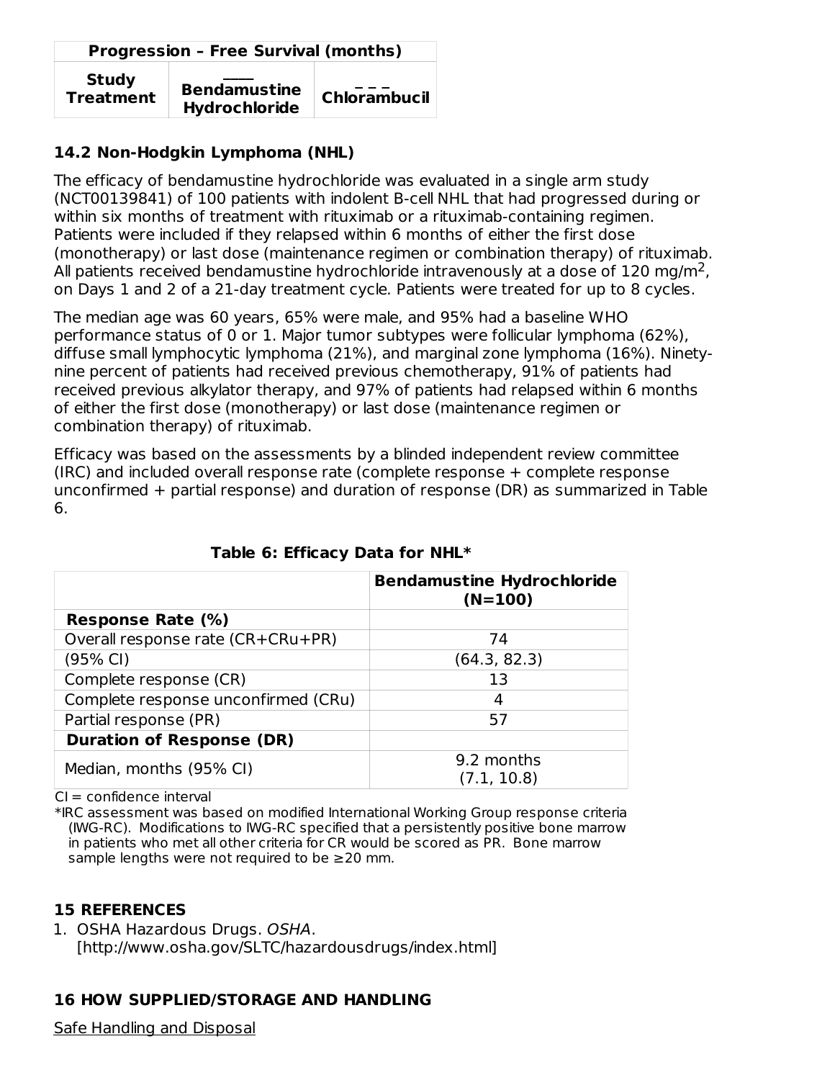| <b>Progression - Free Survival (months)</b> |                                             |                     |  |
|---------------------------------------------|---------------------------------------------|---------------------|--|
| <b>Study</b><br><b>Treatment</b>            | <b>Bendamustine</b><br><b>Hydrochloride</b> | <b>Chlorambucil</b> |  |

## **14.2 Non-Hodgkin Lymphoma (NHL)**

The efficacy of bendamustine hydrochloride was evaluated in a single arm study (NCT00139841) of 100 patients with indolent B-cell NHL that had progressed during or within six months of treatment with rituximab or a rituximab-containing regimen. Patients were included if they relapsed within 6 months of either the first dose (monotherapy) or last dose (maintenance regimen or combination therapy) of rituximab. All patients received bendamustine hydrochloride intravenously at a dose of 120 mg/m<sup>2</sup>, on Days 1 and 2 of a 21-day treatment cycle. Patients were treated for up to 8 cycles.

The median age was 60 years, 65% were male, and 95% had a baseline WHO performance status of 0 or 1. Major tumor subtypes were follicular lymphoma (62%), diffuse small lymphocytic lymphoma (21%), and marginal zone lymphoma (16%). Ninetynine percent of patients had received previous chemotherapy, 91% of patients had received previous alkylator therapy, and 97% of patients had relapsed within 6 months of either the first dose (monotherapy) or last dose (maintenance regimen or combination therapy) of rituximab.

Efficacy was based on the assessments by a blinded independent review committee (IRC) and included overall response rate (complete response + complete response unconfirmed + partial response) and duration of response (DR) as summarized in Table 6.

|                                     | <b>Bendamustine Hydrochloride</b><br>$(N=100)$ |
|-------------------------------------|------------------------------------------------|
| Response Rate (%)                   |                                                |
| Overall response rate (CR+CRu+PR)   | 74                                             |
| (95% CI)                            | (64.3, 82.3)                                   |
| Complete response (CR)              | 13                                             |
| Complete response unconfirmed (CRu) | 4                                              |
| Partial response (PR)               | 57                                             |
| <b>Duration of Response (DR)</b>    |                                                |
| Median, months (95% CI)             | 9.2 months<br>(7.1, 10.8)                      |

## **Table 6: Efficacy Data for NHL\***

 $CI = confidence$  interval

\*IRC assessment was based on modified International Working Group response criteria (IWG-RC). Modifications to IWG-RC specified that a persistently positive bone marrow in patients who met all other criteria for CR would be scored as PR. Bone marrow sample lengths were not required to be  $\geq$  20 mm.

## **15 REFERENCES**

1. OSHA Hazardous Drugs. OSHA. [http://www.osha.gov/SLTC/hazardousdrugs/index.html]

# **16 HOW SUPPLIED/STORAGE AND HANDLING**

Safe Handling and Disposal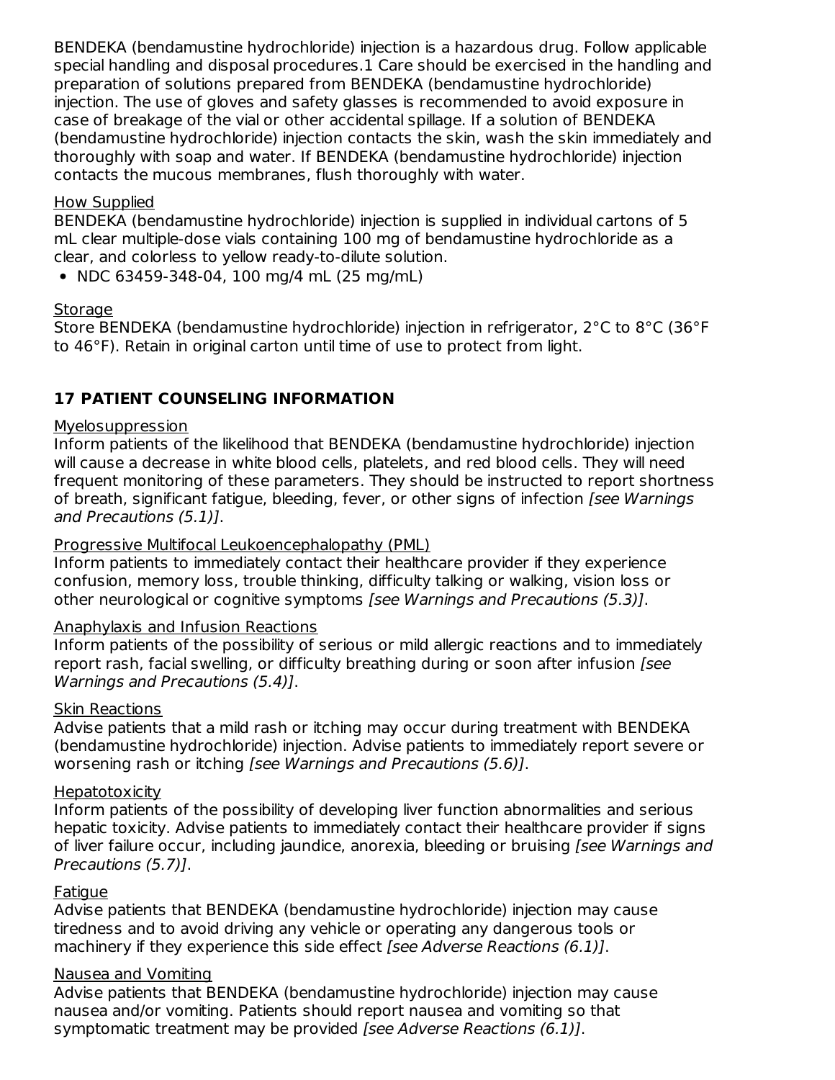BENDEKA (bendamustine hydrochloride) injection is a hazardous drug. Follow applicable special handling and disposal procedures.1 Care should be exercised in the handling and preparation of solutions prepared from BENDEKA (bendamustine hydrochloride) injection. The use of gloves and safety glasses is recommended to avoid exposure in case of breakage of the vial or other accidental spillage. If a solution of BENDEKA (bendamustine hydrochloride) injection contacts the skin, wash the skin immediately and thoroughly with soap and water. If BENDEKA (bendamustine hydrochloride) injection contacts the mucous membranes, flush thoroughly with water.

#### How Supplied

BENDEKA (bendamustine hydrochloride) injection is supplied in individual cartons of 5 mL clear multiple-dose vials containing 100 mg of bendamustine hydrochloride as a clear, and colorless to yellow ready-to-dilute solution.

• NDC 63459-348-04, 100 mg/4 mL (25 mg/mL)

### **Storage**

Store BENDEKA (bendamustine hydrochloride) injection in refrigerator, 2°C to 8°C (36°F to 46°F). Retain in original carton until time of use to protect from light.

# **17 PATIENT COUNSELING INFORMATION**

### Myelosuppression

Inform patients of the likelihood that BENDEKA (bendamustine hydrochloride) injection will cause a decrease in white blood cells, platelets, and red blood cells. They will need frequent monitoring of these parameters. They should be instructed to report shortness of breath, significant fatigue, bleeding, fever, or other signs of infection [see Warnings] and Precautions (5.1)].

#### Progressive Multifocal Leukoencephalopathy (PML)

Inform patients to immediately contact their healthcare provider if they experience confusion, memory loss, trouble thinking, difficulty talking or walking, vision loss or other neurological or cognitive symptoms [see Warnings and Precautions (5.3)].

#### Anaphylaxis and Infusion Reactions

Inform patients of the possibility of serious or mild allergic reactions and to immediately report rash, facial swelling, or difficulty breathing during or soon after infusion [see Warnings and Precautions (5.4)].

#### Skin Reactions

Advise patients that a mild rash or itching may occur during treatment with BENDEKA (bendamustine hydrochloride) injection. Advise patients to immediately report severe or worsening rash or itching [see Warnings and Precautions (5.6)].

#### Hepatotoxicity

Inform patients of the possibility of developing liver function abnormalities and serious hepatic toxicity. Advise patients to immediately contact their healthcare provider if signs of liver failure occur, including jaundice, anorexia, bleeding or bruising *[see Warnings and* Precautions (5.7)].

## **Fatigue**

Advise patients that BENDEKA (bendamustine hydrochloride) injection may cause tiredness and to avoid driving any vehicle or operating any dangerous tools or machinery if they experience this side effect *[see Adverse Reactions (6.1)]*.

#### Nausea and Vomiting

Advise patients that BENDEKA (bendamustine hydrochloride) injection may cause nausea and/or vomiting. Patients should report nausea and vomiting so that symptomatic treatment may be provided [see Adverse Reactions (6.1)].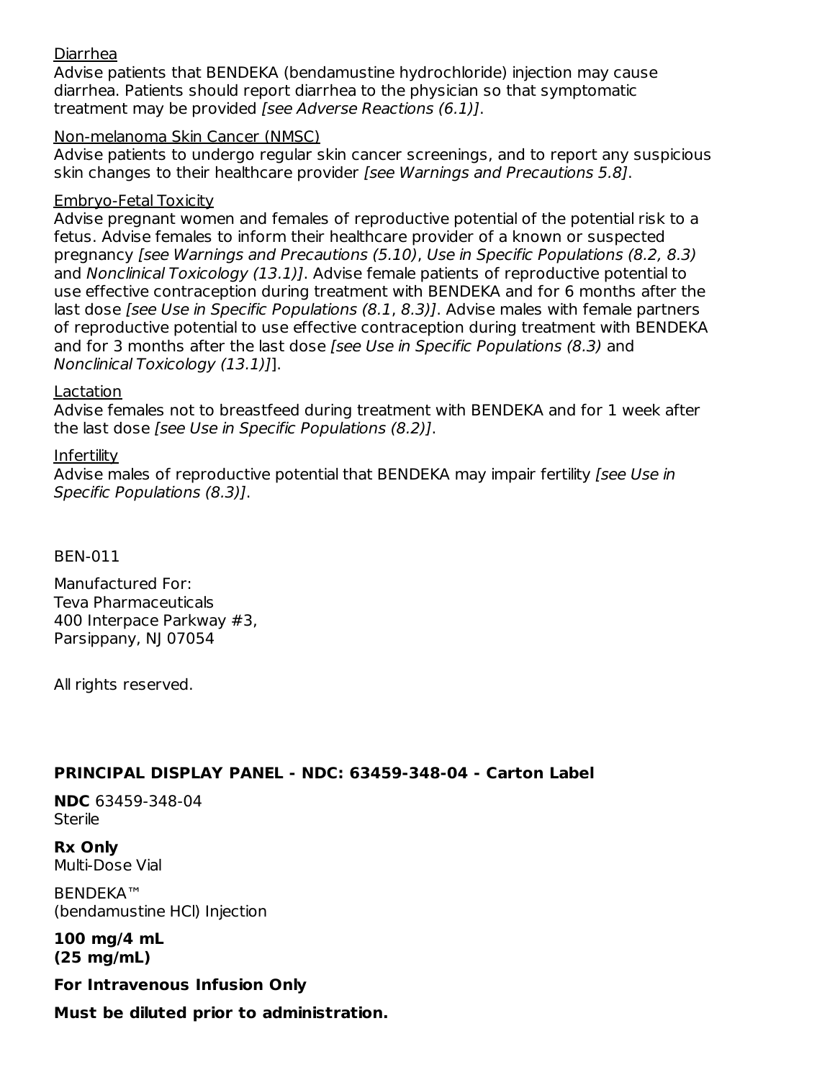#### Diarrhea

Advise patients that BENDEKA (bendamustine hydrochloride) injection may cause diarrhea. Patients should report diarrhea to the physician so that symptomatic treatment may be provided [see Adverse Reactions (6.1)].

#### Non-melanoma Skin Cancer (NMSC)

Advise patients to undergo regular skin cancer screenings, and to report any suspicious skin changes to their healthcare provider [see Warnings and Precautions 5.8].

#### Embryo-Fetal Toxicity

Advise pregnant women and females of reproductive potential of the potential risk to a fetus. Advise females to inform their healthcare provider of a known or suspected pregnancy [see Warnings and Precautions (5.10), Use in Specific Populations (8.2, 8.3) and Nonclinical Toxicology (13.1). Advise female patients of reproductive potential to use effective contraception during treatment with BENDEKA and for 6 months after the last dose *[see Use in Specific Populations (8.1, 8.3)*]. Advise males with female partners of reproductive potential to use effective contraception during treatment with BENDEKA and for 3 months after the last dose [see Use in Specific Populations (8.3) and Nonclinical Toxicology (13.1)]].

#### Lactation

Advise females not to breastfeed during treatment with BENDEKA and for 1 week after the last dose [see Use in Specific Populations (8.2)].

#### Infertility

Advise males of reproductive potential that BENDEKA may impair fertility [see Use in Specific Populations (8.3)].

BEN-011

Manufactured For: Teva Pharmaceuticals 400 Interpace Parkway #3, Parsippany, NJ 07054

All rights reserved.

## **PRINCIPAL DISPLAY PANEL - NDC: 63459-348-04 - Carton Label**

**NDC** 63459-348-04 **Sterile** 

**Rx Only** Multi-Dose Vial

BENDEKA™ (bendamustine HCl) Injection

**100 mg/4 mL (25 mg/mL)**

**For Intravenous Infusion Only**

**Must be diluted prior to administration.**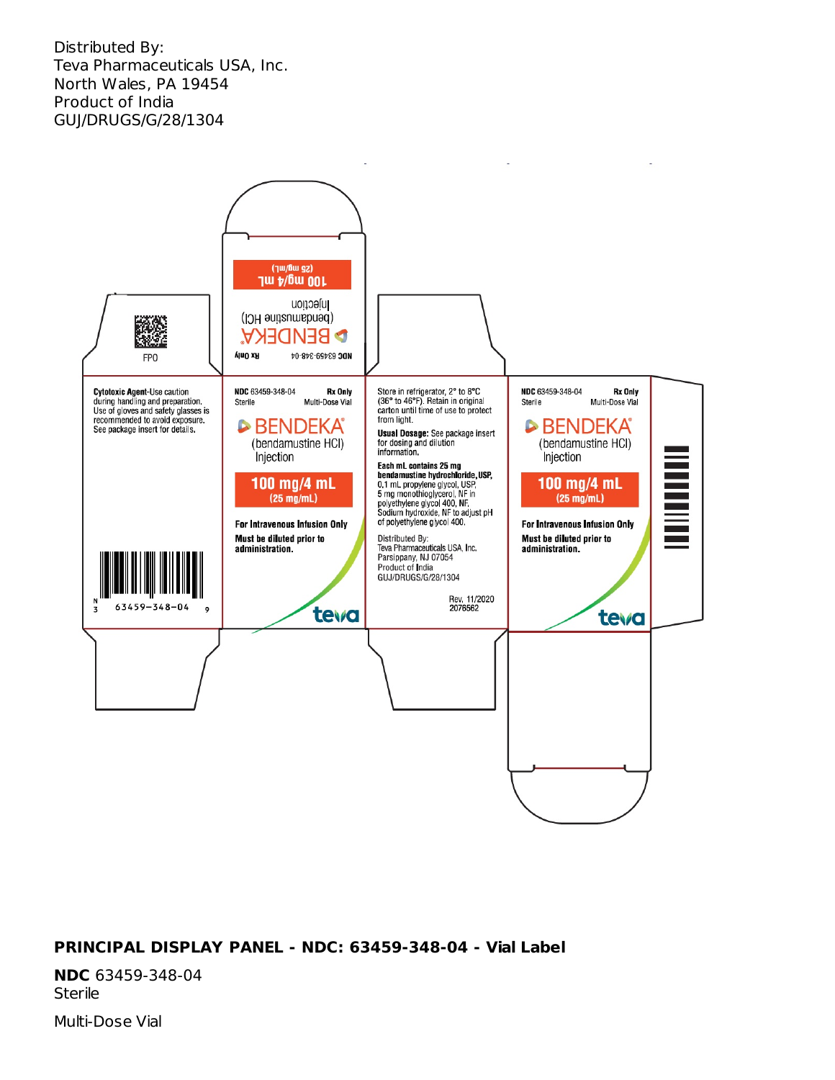Distributed By: Teva Pharmaceuticals USA, Inc. North Wales, PA 19454 Product of India GUJ/DRUGS/G/28/1304



#### **PRINCIPAL DISPLAY PANEL - NDC: 63459-348-04 - Vial Label**

**NDC** 63459-348-04 Sterile

Multi-Dose Vial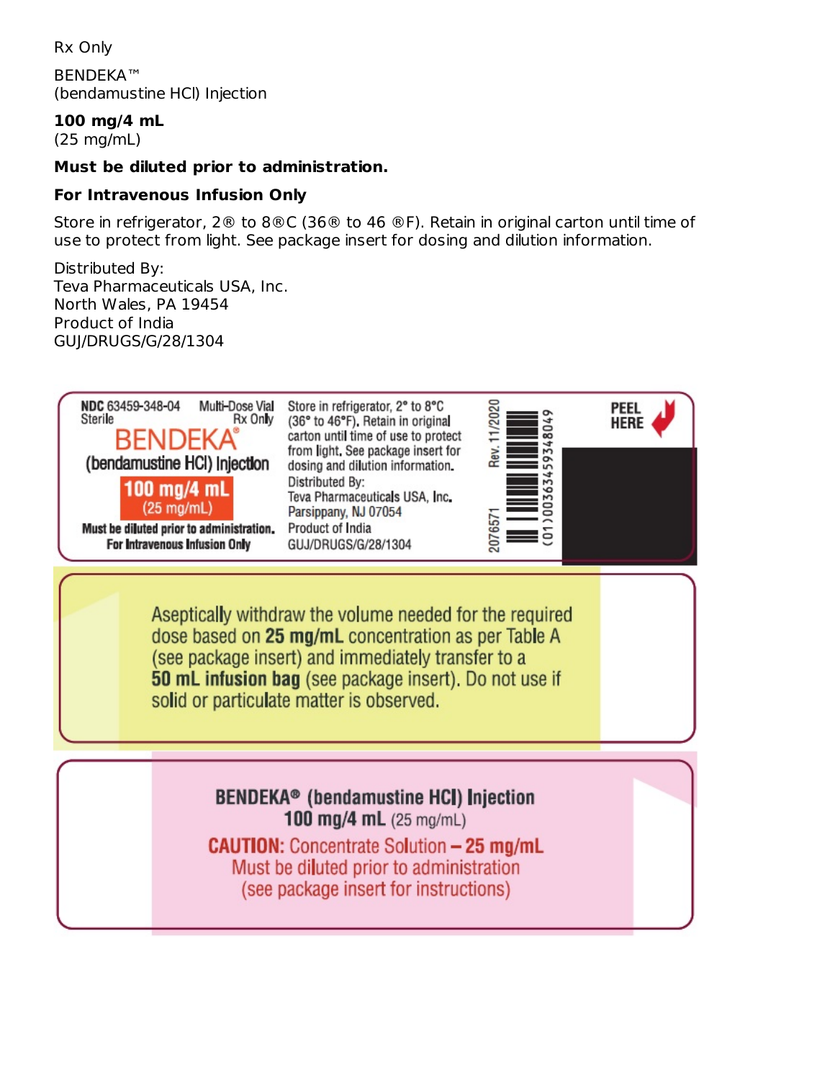Rx Only

BENDEKA™ (bendamustine HCl) Injection

**100 mg/4 mL**

(25 mg/mL)

#### **Must be diluted prior to administration.**

#### **For Intravenous Infusion Only**

Store in refrigerator, 2® to 8®C (36® to 46 ®F). Retain in original carton until time of use to protect from light. See package insert for dosing and dilution information.

Distributed By: Teva Pharmaceuticals USA, Inc. North Wales, PA 19454 Product of India GUJ/DRUGS/G/28/1304

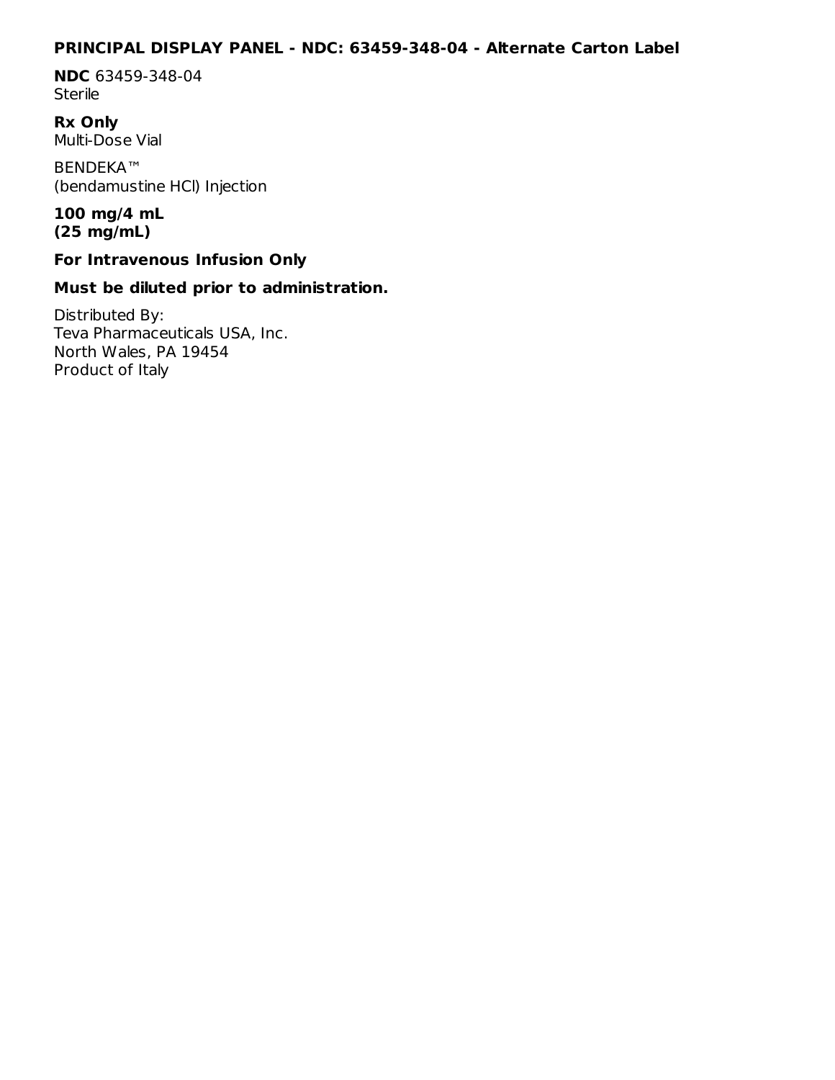#### **PRINCIPAL DISPLAY PANEL - NDC: 63459-348-04 - Alternate Carton Label**

**NDC** 63459-348-04 **Sterile** 

**Rx Only** Multi-Dose Vial

BENDEKA™ (bendamustine HCl) Injection

#### **100 mg/4 mL (25 mg/mL)**

### **For Intravenous Infusion Only**

### **Must be diluted prior to administration.**

Distributed By: Teva Pharmaceuticals USA, Inc. North Wales, PA 19454 Product of Italy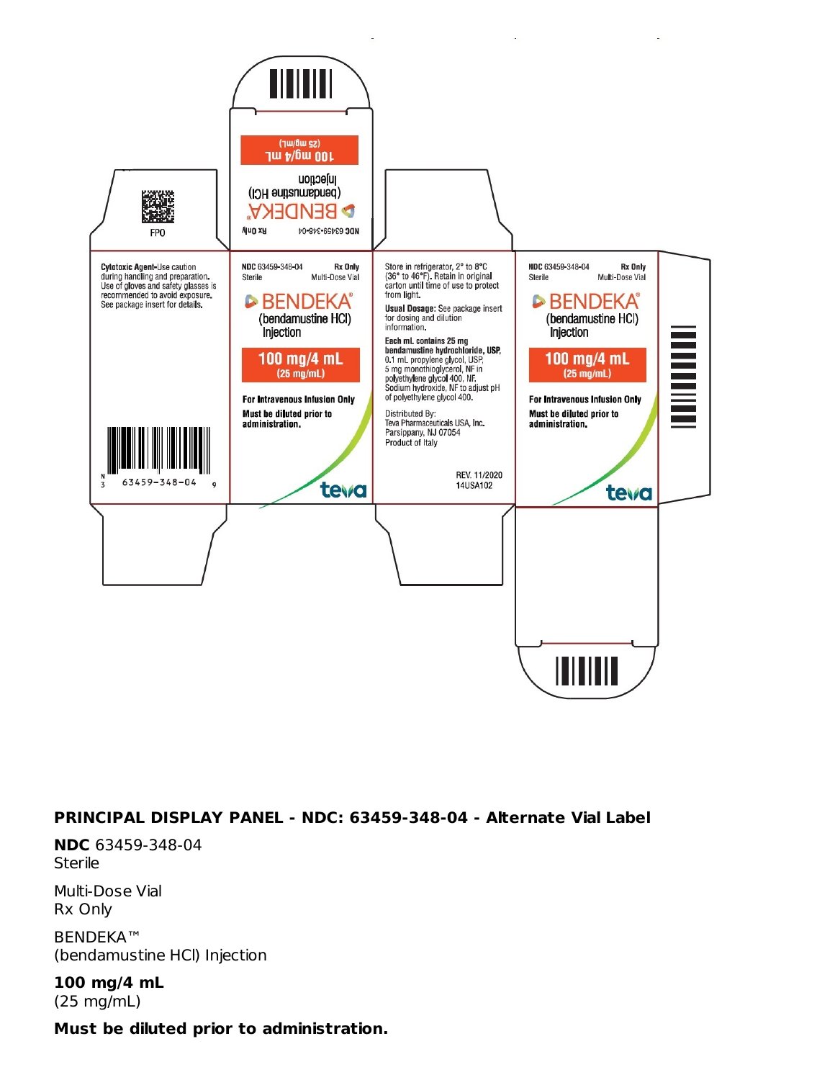

#### **PRINCIPAL DISPLAY PANEL - NDC: 63459-348-04 - Alternate Vial Label**

**NDC** 63459-348-04 **Sterile** 

Multi-Dose Vial Rx Only

BENDEKA™ (bendamustine HCl) Injection

**100 mg/4 mL** (25 mg/mL)

#### **Must be diluted prior to administration.**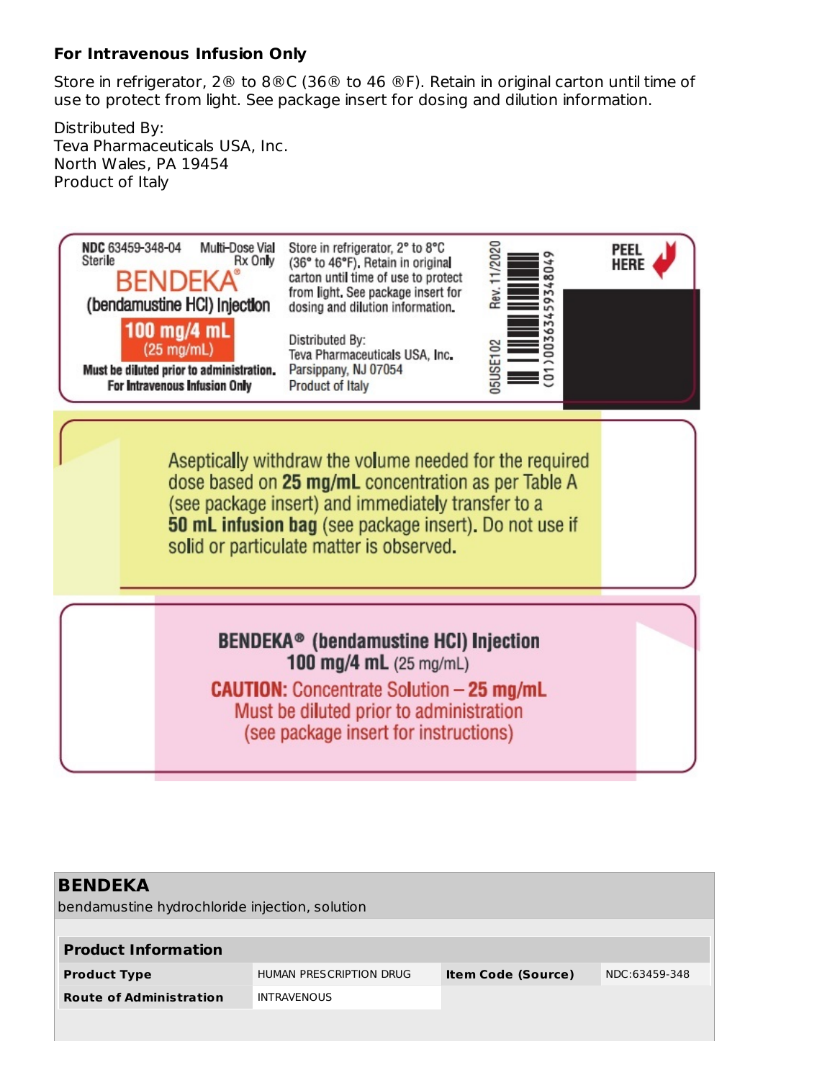#### **For Intravenous Infusion Only**

Store in refrigerator, 2® to 8®C (36® to 46 ®F). Retain in original carton until time of use to protect from light. See package insert for dosing and dilution information.

Distributed By: Teva Pharmaceuticals USA, Inc. North Wales, PA 19454 Product of Italy



| <b>BENDEKA</b>                                 |                         |                           |               |  |  |  |  |  |
|------------------------------------------------|-------------------------|---------------------------|---------------|--|--|--|--|--|
| bendamustine hydrochloride injection, solution |                         |                           |               |  |  |  |  |  |
|                                                |                         |                           |               |  |  |  |  |  |
| <b>Product Information</b>                     |                         |                           |               |  |  |  |  |  |
| <b>Product Type</b>                            | HUMAN PRESCRIPTION DRUG | <b>Item Code (Source)</b> | NDC:63459-348 |  |  |  |  |  |
| <b>Route of Administration</b>                 | <b>INTRAVENOUS</b>      |                           |               |  |  |  |  |  |
|                                                |                         |                           |               |  |  |  |  |  |
|                                                |                         |                           |               |  |  |  |  |  |